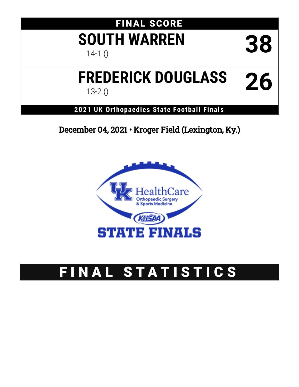# FINAL SCORE **SOUTH WARREN** 38

# **FREDERICK DOUGLASS** 13-2 () **26**

## **2021 UK Orthopaedics State Football Finals**

December 04, 2021 • Kroger Field (Lexington, Ky.)



# FINAL STATISTICS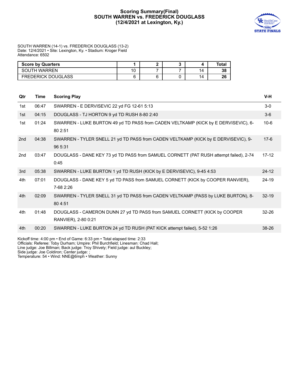#### **Scoring Summary(Final) SOUTH WARREN VS. FREDERICK DOUGLASS (12/4/2021 at Lexington, Ky.)**



SOUTH WARREN (14-1) vs. FREDERICK DOUGLASS (13-2) Date: 12/4/2021 • Site: Lexington, Ky. • Stadium: Kroger Field Attendance: 6502

| <b>Score by Quarters</b>  |                |  |    | Total |
|---------------------------|----------------|--|----|-------|
| <b>SOUTH WARREN</b>       | $\overline{A}$ |  | 14 | 38    |
| <b>FREDERICK DOUGLASS</b> |                |  | 14 | 26    |

| Qtr | Time  | <b>Scoring Play</b>                                                                              | V-H       |
|-----|-------|--------------------------------------------------------------------------------------------------|-----------|
| 1st | 06:47 | SWARREN - E DERVISEVIC 22 yd FG 12-61 5:13                                                       | $3-0$     |
| 1st | 04:15 | DOUGLASS - TJ HORTON 9 yd TD RUSH 8-80 2:40                                                      | $3-6$     |
| 1st | 01:24 | SWARREN - LUKE BURTON 49 yd TD PASS from CADEN VELTKAMP (KICK by E DERVISEVIC), 6-<br>80 2:51    | $10-6$    |
| 2nd | 04:38 | SWARREN - TYLER SNELL 21 yd TD PASS from CADEN VELTKAMP (KICK by E DERVISEVIC), 9-<br>96 5:31    | $17-6$    |
| 2nd | 03:47 | DOUGLASS - DANE KEY 73 yd TD PASS from SAMUEL CORNETT (PAT RUSH attempt failed), 2-74<br>0:45    | $17 - 12$ |
| 3rd | 05:38 | SWARREN - LUKE BURTON 1 yd TD RUSH (KICK by E DERVISEVIC), 9-45 4:53                             | $24 - 12$ |
| 4th | 07:01 | DOUGLASS - DANE KEY 5 yd TD PASS from SAMUEL CORNETT (KICK by COOPER RANVIER),<br>7-68 2:26      | 24-19     |
| 4th | 02:09 | SWARREN - TYLER SNELL 31 yd TD PASS from CADEN VELTKAMP (PASS by LUKE BURTON), 8-<br>80 4:51     | $32 - 19$ |
| 4th | 01:48 | DOUGLASS - CAMERON DUNN 27 yd TD PASS from SAMUEL CORNETT (KICK by COOPER<br>RANVIER), 2-80 0:21 | $32 - 26$ |
| 4th | 00:20 | SWARREN - LUKE BURTON 24 yd TD RUSH (PAT KICK attempt failed), 5-52 1:26                         | 38-26     |
|     |       | Kickoff time: 4:00 pm • End of Game: 6:33 pm • Total elapsed time: 2:33                          |           |

Officials: Referee: Toby Durham; Umpire: Phil Burchfield; Linesman: Chad Hall; Line judge: Joe Billman; Back judge: Troy Shively; Field judge: aul Buckley;

Side judge: Joe Coldiron; Center judge: ;

Temperature: 54 • Wind: NNE@6mph • Weather: Sunny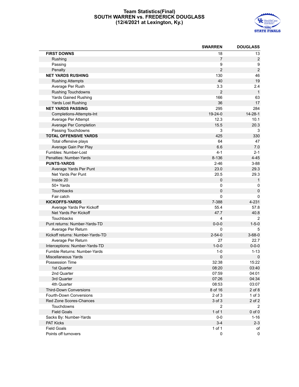#### **Team Statistics(Final) SOUTH WARREN vs. FREDERICK DOUGLASS (12/4/2021 at Lexington, Ky.)**



|                                  | <b>SWARREN</b> | <b>DOUGLASS</b> |
|----------------------------------|----------------|-----------------|
| <b>FIRST DOWNS</b>               | 18             | 13              |
| Rushing                          | $\overline{7}$ | $\overline{c}$  |
| Passing                          | 9              | 9               |
| Penalty                          | $\overline{2}$ | $\sqrt{2}$      |
| <b>NET YARDS RUSHING</b>         | 130            | 46              |
| <b>Rushing Attempts</b>          | 40             | 19              |
| Average Per Rush                 | 3.3            | 2.4             |
| <b>Rushing Touchdowns</b>        | $\overline{2}$ | $\mathbf{1}$    |
| Yards Gained Rushing             | 166            | 63              |
| Yards Lost Rushing               | 36             | 17              |
| <b>NET YARDS PASSING</b>         | 295            | 284             |
| Completions-Attempts-Int         | $19-24-0$      | $14 - 28 - 1$   |
| Average Per Attempt              | 12.3           | 10.1            |
| Average Per Completion           | 15.5           | 20.3            |
| Passing Touchdowns               | 3              | 3               |
| <b>TOTAL OFFENSIVE YARDS</b>     | 425            | 330             |
| Total offensive plays            | 64             | 47              |
| Average Gain Per Play            | 6.6            | 7.0             |
| Fumbles: Number-Lost             | 4-1            | $2 - 1$         |
| Penalties: Number-Yards          | 8-136          | $4 - 45$        |
| <b>PUNTS-YARDS</b>               | $2 - 46$       | $3 - 88$        |
| Average Yards Per Punt           | 23.0           | 29.3            |
| Net Yards Per Punt               | 20.5           | 29.3            |
| Inside 20                        | $\mathbf 0$    | $\mathbf{1}$    |
| 50+ Yards                        | 0              | 0               |
| <b>Touchbacks</b>                | $\mathbf 0$    | $\pmb{0}$       |
| Fair catch                       | 0              | $\mathbf 0$     |
| <b>KICKOFFS-YARDS</b>            | 7-388          | 4-231           |
| Average Yards Per Kickoff        | 55.4           | 57.8            |
| Net Yards Per Kickoff            | 47.7           | 40.8            |
| Touchbacks                       | $\overline{4}$ | 2               |
| Punt returns: Number-Yards-TD    | $0 - 0 - 0$    | $1 - 5 - 0$     |
| Average Per Return               | $\Omega$       | 5               |
| Kickoff returns: Number-Yards-TD | $2 - 54 - 0$   | $3 - 68 - 0$    |
| Average Per Return               | 27             | 22.7            |
| Interceptions: Number-Yards-TD   | $1 - 0 - 0$    | $0 - 0 - 0$     |
| Fumble Returns: Number-Yards     | $1 - 0$        | $1 - 13$        |
| <b>Miscellaneous Yards</b>       | 0              | 0               |
| Possession Time                  | 32:38          | 15:22           |
| 1st Quarter                      | 08:20          | 03:40           |
| 2nd Quarter                      | 07:59          | 04:01           |
| 3rd Quarter                      | 07:26          | 04:34           |
| 4th Quarter                      | 08:53          | 03:07           |
| <b>Third-Down Conversions</b>    | 8 of 16        | $2$ of $8$      |
| Fourth-Down Conversions          | $2$ of $3$     | $1$ of $3$      |
| <b>Red Zone Scores-Chances</b>   | 3 of 3         | 2 of 2          |
| Touchdowns                       | 2              | 2               |
| <b>Field Goals</b>               | 1 of 1         | $0$ of $0$      |
| Sacks By: Number-Yards           | $0-0$          | $1 - 16$        |
| <b>PAT Kicks</b>                 | $3 - 4$        | $2 - 3$         |
| <b>Field Goals</b>               | 1 of 1         | of              |
| Points off turnovers             | 0              | 0               |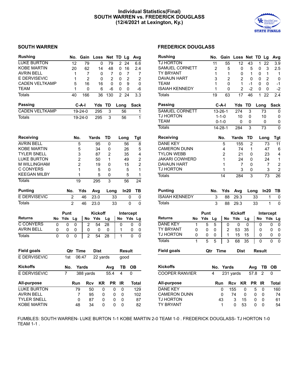#### **Individual Statistics(Final) SOUTH WARREN vs. FREDERICK DOUGLASS (12/4/2021 at Lexington, Ky.)**



| <b>Rushing</b>        |    |      | No.            | Gain           | Loss        | <b>Net</b>     | TD             | Lg               | Avg              |
|-----------------------|----|------|----------------|----------------|-------------|----------------|----------------|------------------|------------------|
| <b>LUKE BURTON</b>    |    |      | 12             | 79             | 0           | 79             | 2              | 24               | 6.6              |
| <b>KOBE MARTIN</b>    |    |      | 20             | 62             | 14          | 48             | 0              | 16               | 2.4              |
| <b>AVRIN BELL</b>     |    |      | 1              | 7              | 0           | 7              | 0              | 7                | 7                |
| <b>E DERVISEVIC</b>   |    |      | 1              | 2              | 0           | 2              | 0              | 2                | 2                |
| <b>CADEN VELTKAMP</b> |    |      | 5              | 16             | 16          | 0              | 0              | 9                | 0                |
| TEAM                  |    |      | 1              | 0              | 6           | -6             | 0              | 0                | -6               |
| <b>Totals</b>         |    |      | 40             | 166            | 36          | 130            | $\overline{2}$ | 24               | $\overline{3.3}$ |
| Passing               |    |      |                | C-A-I          | Yds         | TD             | Long           |                  | Sack             |
| <b>CADEN VELTKAMP</b> |    |      |                | $19-24-0$      | 295         | 3              |                | 56               | $\mathbf 1$      |
| Totals                |    |      |                | $19 - 24 - 0$  | 295         | 3              |                | 56               | 1                |
| Receiving             |    |      | No.            |                | Yards       | TD             |                | Long             | <b>Tgt</b>       |
| <b>AVRIN BELL</b>     |    |      | 5              |                | 95          | 0              |                | 56               | 8                |
| <b>KOBE MARTIN</b>    |    |      | 5              |                | 34          | 0              |                | 26               | 5                |
| <b>TYLER SNELL</b>    |    |      | 3              |                | 87          | $\overline{2}$ |                | 35               | 4                |
| <b>LUKE BURTON</b>    |    |      | $\overline{c}$ |                | 50          | 1              |                | 49               | 2                |
| <b>M WILLINGHAM</b>   |    |      | $\overline{c}$ |                | 19          | 0              |                | 15               | 2                |
| <b>C CONYERS</b>      |    |      | 1              |                | 5           | 0              |                | 5                | 1                |
| <b>KEEGAN MILBY</b>   |    |      | 1              |                | 5           | 0              |                | 5                | 1                |
| <b>Totals</b>         |    |      | 19             |                | 295         | 3              |                | 56               | 24               |
| Punting               |    | No.  |                | Yds            | Avg         | Long           |                | In20             | TВ               |
| <b>E DERVISEVIC</b>   |    |      | 2              | 46             | 23.0        |                | 33             | 0                | 0                |
| <b>Totals</b>         |    |      | 2              | 46             | 23.0        |                | 33             | 0                | 0                |
|                       |    | Punt |                |                | Kickoff     |                |                | <b>Intercept</b> |                  |
| <b>Returns</b>        | No | Yds  | Lg             | No             | Yds         | Lg             | No             | Yds              | Lg               |
| <b>C CONYERS</b>      | 0  | 0    | 0              | 2              | 54          | 28             | 0              |                  | 0<br>0           |
| AVRIN BELL            | 0  | 0    | 0              | 0              | 0           | 0              | 1              |                  | 0<br>0           |
| <b>Totals</b>         | 0  | 0    | 0              | $\overline{2}$ | 54          | 28             | $\overline{1}$ |                  | 0<br>0           |
|                       |    |      |                |                |             |                |                |                  |                  |
| <b>Field goals</b>    |    | Qtr  |                | <b>Time</b>    | <b>Dist</b> |                |                | <b>Result</b>    |                  |
| E DERVISEVIC          |    | 1st  |                | 06:47          | 22 yards    |                |                | good             |                  |
| <b>Kickoffs</b>       |    | No.  |                | Yards          |             | Avg            |                | ΤВ               | ОВ               |
| E DERVISEVIC          |    | 7    |                | 388 yards      |             | 55.4           | 4              |                  | 0                |
| All-purpose           |    |      | Run            | Rcv            | KR          | <b>PR</b>      | <b>IR</b>      |                  | Total            |
| <b>LUKE BURTON</b>    |    |      | 79             |                | 50          | 0<br>0         |                | 0                | 129              |
| <b>AVRIN BELL</b>     |    |      | 7              |                | 95          | 0<br>0         |                | 0                | 102              |
| <b>TYLER SNELL</b>    |    |      | 0              |                | 87          | 0<br>0         |                | 0                | 87               |
| <b>KOBE MARTIN</b>    |    |      | 48             |                | 34          | 0              | 0              | 0                | 82               |

#### **SOUTH WARREN FREDERICK DOUGLASS**

| <b>Rushing</b>        |    |      | No. | Gain                  | Loss           | <b>Net</b>     | TD     | Lg        | Avg         |
|-----------------------|----|------|-----|-----------------------|----------------|----------------|--------|-----------|-------------|
| <b>TJ HORTON</b>      |    |      | 11  | 55                    | 12             | 43             | 1      | 22        | 3.9         |
| SAMUEL CORNETT        |    |      | 2   | 5                     | 0              | 5              | 0      | 3         | 2.5         |
| TY BRYANT             |    |      | 1   | 1                     | 0              | 1              | 0      | 1         | 1           |
| <b>DAVAUN HART</b>    |    |      | 3   | 2                     | 2              | 0              | 0      | 2         | 0           |
| <b>TEAM</b>           |    |      | 1   | 0                     | 1              | $-1$           | 0      | 0         | -1          |
| <b>ISAIAH KENNEDY</b> |    |      | 1   | 0                     | 2              | $-2$           | 0      | 0         | -2          |
| Totals                |    |      | 19  | 63                    | 17             | 46             | 1      | 22        | 2.4         |
| Passing               |    |      |     | C-A-I                 | Yds            | TD             | Long   |           | <b>Sack</b> |
| <b>SAMUEL CORNETT</b> |    |      |     | $\overline{1}$ 3-26-1 | 274            | 3              |        | 73        | 0           |
| TJ HORTON             |    |      |     | $1 - 1 - 0$           | 10             | 0              |        | 10        | 0           |
| TEAM                  |    |      |     | $0 - 1 - 0$           | 0              | 0              |        | 0         | 0           |
| <b>Totals</b>         |    |      |     | $14 - 28 - 1$         | 284            | 3              |        | 73        | 0           |
| Receiving             |    |      |     | No.                   | Yards          | TD             |        | Long      | Tgt         |
| <b>DANE KEY</b>       |    |      |     | 5                     | 155            | $\overline{2}$ |        | 73        | 11          |
| <b>CAMERON DUNN</b>   |    |      |     | 4                     | 74             | 1              |        | 47        | 6           |
| <b>TYLON WEBB</b>     |    |      |     | 2                     | 21             | 0              |        | 23        | 4           |
| JAKARI COWHERD        |    |      |     | 1                     | 24             | 0              |        | 24        | 1           |
| <b>DAVAUN HART</b>    |    |      |     | 1                     | 7              | 0              |        | 7         | 2           |
| TJ HORTON             |    |      |     | 1                     | 3              | 0              |        | 3         | 2           |
| <b>Totals</b>         |    |      |     | 14                    | 284            | 3              |        | 73        | 26          |
|                       |    |      |     |                       |                |                |        |           |             |
| <b>Punting</b>        |    |      | No. | Yds                   | Avg            | Long           |        | In20      | ΤВ          |
| <b>ISAIAH KENNEDY</b> |    |      | 3   | 88                    | 29.3           |                | 33     | 1         | 0           |
| Totals                |    |      | 3   | 88                    | 29.3           |                | 33     | 1         | 0           |
|                       |    | Punt |     |                       | <b>Kickoff</b> |                |        | Intercept |             |
| <b>Returns</b>        | No | Yds  | Lg  | No                    | Yds            | Lg             | No     | Yds       | Lg          |
| <b>DANE KEY</b>       | 1  | 5    | 5   | 0                     | 0              | 0              | 0      |           | 0<br>0      |
| TY BRYANT             | 0  | 0    | 0   | $\overline{2}$        | 53             | 35             | 0      |           | 0<br>0      |
| TJ HORTON             | 0  | 0    | 0   | 1                     | 15             | 15             | 0      |           | 0<br>0      |
| <b>Totals</b>         | 1  | 5    | 5   | $\overline{3}$        | 68             | 35             | 0      |           | 0<br>0      |
| Field goals           |    | Qtr  |     | Time                  | <b>Dist</b>    |                | Result |           |             |
|                       |    |      |     |                       |                |                |        |           |             |
| <b>Kickoffs</b>       |    |      | No. | Yards                 |                | Avg            |        | ΤВ        | OВ          |
| <b>COOPER RANVIER</b> |    |      | 4   |                       | 231 yards      | 57.8           |        | 2         | 0           |
| All-purpose           |    |      |     | Run                   | KR<br>Rcv      | <b>PR</b>      |        | ΙR        | Total       |
| <b>DANE KEY</b>       |    |      |     | 0                     | 155            | 0              | 5      | 0         | 160         |
| <b>CAMERON DUNN</b>   |    |      |     | 0                     | 74             | 0              | 0      | 0         | 74          |
| TJ HORTON             |    |      |     | 43                    | 3              | 15             | 0      | 0         | 61          |

TJ HORTON 43 3 15 0 0 61<br>TY BRYANT 1 0 53 0 0 54

TY BRYANT 1

FUMBLES: SOUTH WARREN- LUKE BURTON 1-1 KOBE MARTIN 2-0 TEAM 1-0 . FREDERICK DOUGLASS- TJ HORTON 1-0 TEAM 1-1 .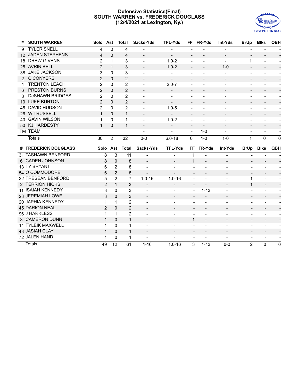#### **Defensive Statistics(Final) SOUTH WARREN vs. FREDERICK DOUGLASS (12/4/2021 at Lexington, Ky.)**



| #               | <b>SOUTH WARREN</b>      | Solo Ast       |                | <b>Total</b>   | Sacks-Yds                | <b>TFL-Yds</b>           |                          | FF FR-Yds                | <b>Int-Yds</b>           | <b>BrUp</b>                  | <b>Blks</b>                  | QBH                      |
|-----------------|--------------------------|----------------|----------------|----------------|--------------------------|--------------------------|--------------------------|--------------------------|--------------------------|------------------------------|------------------------------|--------------------------|
| 9               | <b>TYLER SNELL</b>       | 4              | $\Omega$       | 4              |                          |                          |                          |                          |                          |                              |                              |                          |
| 12 <sup>2</sup> | <b>JADEN STEPHENS</b>    | 4              | $\Omega$       | 4              | $\blacksquare$           | $\overline{\phantom{a}}$ | $\overline{\phantom{a}}$ |                          | $\overline{\phantom{a}}$ |                              |                              |                          |
| 18              | <b>DREW GIVENS</b>       | 2              | 1              | 3              | $\overline{\phantom{a}}$ | $1.0 - 2$                | $\overline{\phantom{a}}$ | $\overline{\phantom{a}}$ | $\overline{\phantom{a}}$ | 1                            |                              |                          |
|                 | 25 AVRIN BELL            | 2              | $\mathbf{1}$   | 3              | $\overline{\phantom{a}}$ | $1.0 - 2$                | $\blacksquare$           | $\overline{\phantom{a}}$ | $1 - 0$                  | $\overline{\phantom{a}}$     | $\overline{\phantom{0}}$     |                          |
| 38              | <b>JAKE JACKSON</b>      | 3              | $\Omega$       | 3              |                          | $\overline{\phantom{a}}$ |                          | $\overline{\phantom{a}}$ |                          | $\overline{\phantom{a}}$     |                              |                          |
|                 | 2 C CONYERS              | $\overline{2}$ | $\Omega$       | $\overline{2}$ | $\overline{a}$           | $\overline{\phantom{a}}$ | $\overline{a}$           |                          |                          | $\overline{\phantom{a}}$     | $\overline{\phantom{a}}$     |                          |
| 4               | <b>TRENTON LEACH</b>     | 2              | 0              | $\overline{2}$ | $\overline{\phantom{a}}$ | $2.0 - 7$                | $\overline{\phantom{a}}$ |                          |                          | $\overline{\phantom{a}}$     |                              |                          |
| 6               | PRESTON BURNS            | $\overline{2}$ | $\Omega$       | $\overline{2}$ |                          | $\overline{\phantom{a}}$ | $\overline{\phantom{a}}$ |                          |                          | $\overline{\phantom{a}}$     | $\overline{\phantom{0}}$     |                          |
| 8               | <b>DeSHAWN BRIDGES</b>   | $\overline{2}$ | $\Omega$       | $\overline{2}$ |                          |                          |                          |                          |                          | $\overline{\phantom{a}}$     | $\overline{a}$               |                          |
|                 | 10 LUKE BURTON           | 2              | $\Omega$       | 2              | $\blacksquare$           | $\overline{\phantom{a}}$ | $\overline{\phantom{a}}$ |                          |                          | $\overline{\phantom{a}}$     | $\qquad \qquad -$            |                          |
| 45              | DAVID HUDSON             | $\overline{2}$ | 0              | 2              |                          | $1.0 - 5$                |                          |                          |                          | $\overline{\phantom{a}}$     |                              |                          |
|                 | 26 W TRUSSELL            | $\mathbf{1}$   | $\Omega$       | $\mathbf{1}$   |                          | $\overline{\phantom{0}}$ |                          |                          |                          | $\overline{\phantom{a}}$     | $\overline{\phantom{m}}$     |                          |
| 40              | <b>GAVIN WILSON</b>      | 1              | 0              | 1              | $\overline{a}$           | $1.0 - 2$                |                          |                          |                          | $\overline{\phantom{a}}$     | $\overline{\phantom{0}}$     |                          |
| 50 <sup>°</sup> | <b>KJ HARDESTY</b>       | $\mathbf{1}$   | $\Omega$       | $\mathbf 1$    | $\overline{a}$           | $\overline{\phantom{a}}$ |                          |                          |                          | $\overline{\phantom{a}}$     |                              |                          |
|                 | TM TEAM                  |                |                |                | $\overline{\phantom{a}}$ | ÷                        | $\overline{\phantom{a}}$ | $1 - 0$                  | $\blacksquare$           | $\qquad \qquad \blacksquare$ | $\qquad \qquad \blacksquare$ |                          |
|                 | <b>Totals</b>            | 30             | $\overline{2}$ | 32             | $0 - 0$                  | $6.0 - 18$               | $\Omega$                 | $1 - 0$                  | $1 - 0$                  | $\mathbf{1}$                 | 0                            | $\mathbf 0$              |
|                 |                          |                |                |                |                          |                          |                          |                          |                          |                              |                              |                          |
|                 | # FREDERICK DOUGLASS     |                |                | Solo Ast Total | Sacks-Yds                | <b>TFL-Yds</b>           |                          | FF FR-Yds                | Int-Yds                  | <b>BrUp</b>                  | <b>Blks</b>                  | QBH                      |
|                 | 31 TASHAWN BENFORD       | 8              | 3              | 11             |                          |                          | 1                        |                          |                          |                              |                              |                          |
|                 | 6 CADEN JOHNSON          | 8              | $\Omega$       | 8              | $\overline{\phantom{a}}$ | $\overline{\phantom{a}}$ | $\mathbf{1}$             | $\blacksquare$           | $\overline{\phantom{a}}$ | $\sim$                       | $\overline{\phantom{a}}$     |                          |
|                 | 13 TY BRYANT             | 6              | 2              | 8              | $\overline{\phantom{a}}$ | $\overline{\phantom{a}}$ |                          |                          | $\blacksquare$           | $\overline{a}$               |                              |                          |
|                 | 54 O COMMODORE           | 6              | $\overline{2}$ | 8              | $\overline{\phantom{a}}$ |                          |                          |                          | $\overline{\phantom{0}}$ | $\overline{\phantom{a}}$     |                              |                          |
|                 | 22 TRESEAN BENFORD       | 5              | $\overline{2}$ | $\overline{7}$ | $1.0 - 16$               | $1.0 - 16$               |                          |                          | ÷                        | $\mathbf{1}$                 | ÷                            |                          |
|                 | 2 TERRION HICKS          | 2              | $\mathbf{1}$   | 3              | $\overline{\phantom{a}}$ | $\overline{\phantom{a}}$ | $\overline{\phantom{a}}$ | $\overline{\phantom{a}}$ | $\overline{\phantom{a}}$ | $\mathbf{1}$                 | $\overline{\phantom{a}}$     |                          |
|                 | <b>11 ISAIAH KENNEDY</b> | 3              | $\Omega$       | 3              | $\overline{a}$           | $\overline{\phantom{a}}$ | $\overline{\phantom{a}}$ | $1 - 13$                 | $\overline{\phantom{0}}$ | $\overline{\phantom{a}}$     | $\overline{a}$               | $\overline{\phantom{0}}$ |
|                 | 23 JEREMIAH LOWE         | 3              | $\Omega$       | 3              | $\overline{\phantom{a}}$ |                          |                          |                          |                          | $\overline{\phantom{a}}$     | $\overline{a}$               |                          |
|                 | 20 JAPHIA KENNEDY        | $\mathbf{1}$   | $\mathbf{1}$   | $\overline{2}$ |                          |                          |                          |                          | $\overline{a}$           | $\overline{a}$               | $\overline{a}$               |                          |
|                 | <b>45 DARION NEAL</b>    | 2              | $\Omega$       | $\overline{2}$ | $\overline{\phantom{a}}$ | $\overline{\phantom{a}}$ |                          |                          | $\overline{\phantom{a}}$ | $\overline{\phantom{a}}$     | $\overline{\phantom{a}}$     |                          |
|                 | 96 J HARKLESS            | 1              | $\mathbf{1}$   | $\overline{2}$ | $\overline{\phantom{a}}$ | $\overline{\phantom{a}}$ | $\overline{\phantom{a}}$ | $\overline{\phantom{a}}$ | $\overline{\phantom{a}}$ | $\overline{\phantom{a}}$     | $\qquad \qquad -$            | $\overline{\phantom{a}}$ |
|                 | 3 CAMERON DUNN           | $\mathbf{1}$   | $\Omega$       | $\mathbf{1}$   | $\overline{a}$           |                          | 1                        |                          | $\overline{\phantom{0}}$ |                              |                              |                          |
|                 | <b>14 TYLEIK MAXWELL</b> | 1              | $\Omega$       | $\mathbf{1}$   | $\overline{\phantom{a}}$ | $\overline{\phantom{a}}$ | $\overline{\phantom{a}}$ | $\overline{a}$           | $\blacksquare$           | $\overline{\phantom{a}}$     | $\overline{a}$               |                          |
|                 | 43 JASIAH CLAY           | $\mathbf{1}$   | $\Omega$       | $\mathbf{1}$   | $\overline{\phantom{a}}$ | $\overline{\phantom{a}}$ | $\overline{\phantom{a}}$ | $\overline{\phantom{a}}$ | $\overline{\phantom{a}}$ | $\overline{\phantom{a}}$     | $\overline{\phantom{a}}$     |                          |
|                 | 72 JALEN HAND            | 1              | 0              | 1              | $\blacksquare$           | $\overline{a}$           | $\overline{a}$           | $\overline{a}$           | $\sim$                   | $\overline{\phantom{a}}$     | $\overline{\phantom{a}}$     |                          |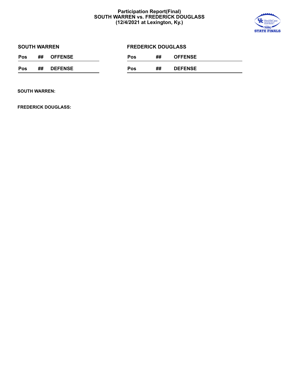#### **Participation Report(Final) SOUTH WARREN vs. FREDERICK DOUGLASS (12/4/2021 at Lexington, Ky.)**



| <b>SOUTH WARREN</b> |    |                |     | <b>FREDERICK DOUGLASS</b> |    |                |  |  |  |
|---------------------|----|----------------|-----|---------------------------|----|----------------|--|--|--|
| Pos                 | ## | <b>OFFENSE</b> | Pos |                           | ## | <b>OFFENSE</b> |  |  |  |
| Pos                 | ## | <b>DEFENSE</b> | Pos |                           | ## | <b>DEFENSE</b> |  |  |  |

**SOUTH WARREN:**

**FREDERICK DOUGLASS:**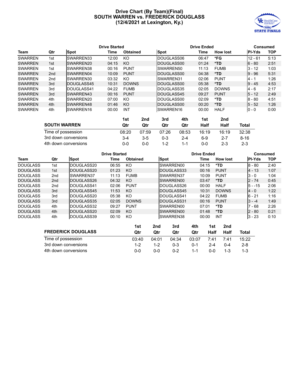#### **Drive Chart (By Team)(Final) SOUTH WARREN vs. FREDERICK DOUGLASS (12/4/2021 at Lexington, Ky.)**



|                     |                 |                      | <b>Drive Started</b> |                 |       |             | <b>Drive Ended</b> |             |                 |               | <b>Consumed</b> |
|---------------------|-----------------|----------------------|----------------------|-----------------|-------|-------------|--------------------|-------------|-----------------|---------------|-----------------|
| Team                | Qtr             | <b>Spot</b>          | Time                 | <b>Obtained</b> |       | <b>Spot</b> |                    | Time        | <b>How lost</b> | <b>PI-Yds</b> | <b>TOP</b>      |
| <b>SWARREN</b>      | 1st             | SWARREN33            | 12:00                | KO              |       | DOUGLASS06  |                    | 06:47       | *FG             | $12 - 61$     | 5:13            |
| <b>SWARREN</b>      | 1st             | SWARREN20            | 04:15                | KO              |       | DOUGLASS00  |                    | 01:24       | *TD             | $6 - 80$      | 2:51            |
| <b>SWARREN</b>      | 1st             | SWARREN38            | 00:16                | <b>PUNT</b>     |       | SWARREN50   |                    | 11:13       | <b>FUMB</b>     | $3 - 12$      | 1:03            |
| <b>SWARREN</b>      | 2 <sub>nd</sub> | SWARREN04            | 10:09                | <b>PUNT</b>     |       | DOUGLASS00  |                    | 04:38       | *TD             | $9 - 96$      | 5:31            |
| <b>SWARREN</b>      | 2nd             | SWARREN30            | 03:32                | KO.             |       | SWARREN31   |                    | 02:06       | <b>PUNT</b>     | 4 - 1         | 1:26            |
| <b>SWARREN</b>      | 3rd             | DOUGLASS45           | 10:31                | <b>DOWNS</b>    |       | DOUGLASS00  |                    | 05:38       | *TD.            | $9 - 45$      | 4:53            |
| <b>SWARREN</b>      | 3rd             | DOUGLASS41           | 04:22                | <b>FUMB</b>     |       | DOUGLASS35  |                    | 02:05       | <b>DOWNS</b>    | 4 - 6         | 2:17            |
| <b>SWARREN</b>      | 3rd             | SWARREN43            | 00:16                | <b>PUNT</b>     |       | DOUGLASS45  |                    | 09:27       | <b>PUNT</b>     | $5 - 12$      | 2:49            |
| <b>SWARREN</b>      | 4th             | SWARREN20            | 07:00                | KO              |       | DOUGLASS00  |                    | 02:09       | *TD             | $8 - 80$      | 4:51            |
| <b>SWARREN</b>      | 4th             | SWARREN48            | 01:46                | KO              |       | DOUGLASS00  |                    | 00:20       | *TD.            | $5 - 52$      | 1:26            |
| <b>SWARREN</b>      | 4th             | SWARREN16            | 00:00                | <b>INT</b>      |       | SWARREN16   |                    | 00:00       | <b>HALF</b>     | $0 - 0$       | 0:00            |
|                     |                 |                      |                      | 1st             | 2nd   | 3rd         | 4th                | 1st         | 2nd             |               |                 |
| <b>SOUTH WARREN</b> |                 |                      |                      | Qtr             | Qtr   | Qtr         | Qtr                | <b>Half</b> | <b>Half</b>     | Total         |                 |
|                     |                 | Time of possession   |                      | 08:20           | 07:59 | 07:26       | 08:53              | 16:19       | 16:19           | 32:38         |                 |
|                     |                 | 3rd down conversions |                      | $3 - 4$         | $3-5$ | $0 - 3$     | $2 - 4$            | $6 - 9$     | $2 - 7$         | $8 - 16$      |                 |

4th down conversions 0-0 0-0 1-2 1-1 0-0 2-3 2-3

| <b>Drive Started</b> |                 |                    |       |                 |                    | <b>Drive Ended</b>    | Consumed        |               |            |
|----------------------|-----------------|--------------------|-------|-----------------|--------------------|-----------------------|-----------------|---------------|------------|
| Team                 | Qtr             | Spot               | Time  | <b>Obtained</b> | Spot               | Time                  | <b>How lost</b> | <b>PI-Yds</b> | <b>TOP</b> |
| DOUGLASS             | 1st             | DOUGLASS20         | 06:55 | KO.             | SWARREN00          | 04:15                 | *TD             | $8 - 80$      | 2:40       |
| <b>DOUGLASS</b>      | 1st             | <b>IDOUGLASS20</b> | 01:23 | KO.             | DOUGLASS33         | 00:16                 | <b>PUNT</b>     | $4 - 13$      | 1:07       |
| DOUGLASS             | 2 <sub>nd</sub> | SWARREN37          | 11:13 | <b>FUMB</b>     | SWARREN37          | 10:09                 | <b>PUNT</b>     | $3 - 0$       | 1:04       |
| <b>DOUGLASS</b>      | 2 <sub>nd</sub> | <b>IDOUGLASS26</b> | 04:32 | KO.             | SWARREN00          | 03:47                 | *TD             | $2 - 74$      | 0:45       |
| DOUGLASS             | 2 <sub>nd</sub> | IDOUGLASS41        | 02:06 | <b>PUNT</b>     | IDOUGLASS26        | 00:00                 | <b>HALF</b>     | $15 - -15$    | 2:06       |
| <b>DOUGLASS</b>      | 3rd             | IDOUGLASS45        | 11:53 | KO.             | DOUGLASS45         | 10:31                 | <b>DOWNS</b>    | $4 - 0$       | 1:22       |
| DOUGLASS             | 3rd             | IDOUGLASS20        | 05:38 | KO.             | <b>IDOUGLASS41</b> | 04:22                 | <b>FUMB</b>     | $6 - 21$      | 1:16       |
| <b>DOUGLASS</b>      | 3rd             | IDOUGLASS35        | 02:05 | <b>DOWNS</b>    | DOUGLASS31         | 00:16                 | <b>PUNT</b>     | $3 - -4$      | 1:49       |
| DOUGLASS             | 4th             | IDOUGLASS32        | 09:27 | <b>PUNT</b>     | SWARREN00          | 07:01                 | *TD             | $7 - 68$      | 2:26       |
| <b>DOUGLASS</b>      | 4th             | <b>IDOUGLASS20</b> | 02:09 | KO.             | <b>SWARREN00</b>   | 01:48                 | *TD             | $2 - 80$      | 0:21       |
| DOUGLASS             | 4th             | <b>IDOUGLASS39</b> | 00:10 | KO.             | <b>SWARREN38</b>   | 00:00                 | <b>INT</b>      | $3 - 23$      | 0:10       |
|                      |                 |                    |       | $4 - 4$         | المعاد<br>$2-1$    | <b>A4L</b><br>$4 - 4$ | $2 - 4$         |               |            |

|                           | 1st     | 2nd     | 3rd     | 4th     | 1st     | 2nd     |         |
|---------------------------|---------|---------|---------|---------|---------|---------|---------|
| <b>FREDERICK DOUGLASS</b> | Otr     | Otr     | Qtr     | Qtr     | Half    | Half    | Total   |
| Time of possession        | 03:40   | 04:01   | 04:34   | 03:07   | 7:41    | 7.41    | 15:22   |
| 3rd down conversions      | $1 - 2$ | $1 - 2$ | $0 - 3$ | 0-1     | $2 - 4$ | $0 - 4$ | $2 - 8$ |
| 4th down conversions      | 0-0     | 0-0     | $0 - 2$ | $1 - 1$ | 0-0     | 1-3     | $1 - 3$ |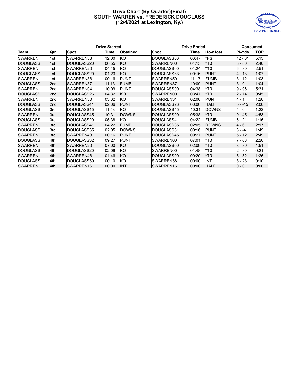#### **Drive Chart (By Quarter)(Final) SOUTH WARREN vs. FREDERICK DOUGLASS (12/4/2021 at Lexington, Ky.)**



|                 |                 |            | <b>Drive Started</b> |                 |                   | <b>Drive Ended</b> |                 |           |            |
|-----------------|-----------------|------------|----------------------|-----------------|-------------------|--------------------|-----------------|-----------|------------|
| Team            | Qtr             | Spot       | Time                 | <b>Obtained</b> | <b>Spot</b>       | Time               | <b>How lost</b> | PI-Yds    | <b>TOP</b> |
| <b>SWARREN</b>  | 1st             | SWARREN33  | 12:00                | KO              | DOUGLASS06        | 06:47              | *FG             | $12 - 61$ | 5:13       |
| <b>DOUGLASS</b> | 1st             | DOUGLASS20 | 06:55                | KO              | SWARREN00         | 04:15              | $*TD$           | $8 - 80$  | 2:40       |
| <b>SWARREN</b>  | 1st             | SWARREN20  | 04:15                | KO              | DOUGLASS00        | 01:24              | *TD             | $6 - 80$  | 2:51       |
| <b>DOUGLASS</b> | 1st             | DOUGLASS20 | 01:23                | KO              | <b>DOUGLASS33</b> | 00:16              | <b>PUNT</b>     | $4 - 13$  | 1:07       |
| <b>SWARREN</b>  | 1st             | SWARREN38  | 00:16                | <b>PUNT</b>     | SWARREN50         | 11:13              | <b>FUMB</b>     | $3 - 12$  | 1:03       |
| <b>DOUGLASS</b> | 2 <sub>nd</sub> | SWARREN37  | 11:13                | <b>FUMB</b>     | SWARREN37         | 10:09              | <b>PUNT</b>     | $3 - 0$   | 1:04       |
| <b>SWARREN</b>  | 2 <sub>nd</sub> | SWARREN04  | 10:09                | <b>PUNT</b>     | DOUGLASS00        | 04:38              | *TD             | 9 - 96    | 5:31       |
| <b>DOUGLASS</b> | 2 <sub>nd</sub> | DOUGLASS26 | 04:32                | KO              | SWARREN00         | 03:47              | $*TD$           | $2 - 74$  | 0:45       |
| <b>SWARREN</b>  | 2nd             | SWARREN30  | 03:32                | KO              | SWARREN31         | 02:06              | <b>PUNT</b>     | 4 - 1     | 1:26       |
| <b>DOUGLASS</b> | 2 <sub>nd</sub> | DOUGLASS41 | 02:06                | <b>PUNT</b>     | DOUGLASS26        | 00:00              | <b>HALF</b>     | $5 - -15$ | 2:06       |
| <b>DOUGLASS</b> | 3rd             | DOUGLASS45 | 11:53                | KO              | DOUGLASS45        | 10:31              | <b>DOWNS</b>    | 4 - 0     | 1:22       |
| <b>SWARREN</b>  | 3rd             | DOUGLASS45 | 10:31                | <b>DOWNS</b>    | DOUGLASS00        | 05:38              | $*TD$           | $9 - 45$  | 4:53       |
| <b>DOUGLASS</b> | 3rd             | DOUGLASS20 | 05:38                | KO              | DOUGLASS41        | 04:22              | <b>FUMB</b>     | $6 - 21$  | 1:16       |
| <b>SWARREN</b>  | 3rd             | DOUGLASS41 | 04:22                | <b>FUMB</b>     | <b>DOUGLASS35</b> | 02:05              | <b>DOWNS</b>    | $4 - 6$   | 2:17       |
| <b>DOUGLASS</b> | 3rd             | DOUGLASS35 | 02:05                | <b>DOWNS</b>    | DOUGLASS31        | 00:16              | <b>PUNT</b>     | $3 - -4$  | 1:49       |
| <b>SWARREN</b>  | 3rd             | SWARREN43  | 00:16                | <b>PUNT</b>     | DOUGLASS45        | 09:27              | <b>PUNT</b>     | $5 - 12$  | 2:49       |
| <b>DOUGLASS</b> | 4th             | DOUGLASS32 | 09:27                | <b>PUNT</b>     | SWARREN00         | 07:01              | *TD             | 7 - 68    | 2:26       |
| <b>SWARREN</b>  | 4th             | SWARREN20  | 07:00                | KO              | DOUGLASS00        | 02:09              | $*TD$           | $8 - 80$  | 4:51       |
| <b>DOUGLASS</b> | 4th             | DOUGLASS20 | 02:09                | KO              | SWARREN00         | 01:48              | *TD             | $2 - 80$  | 0:21       |
| <b>SWARREN</b>  | 4th             | SWARREN48  | 01:46                | KO              | IDOUGLASS00       | 00:20              | $*TD$           | $5 - 52$  | 1:26       |
| <b>DOUGLASS</b> | 4th             | DOUGLASS39 | 00:10                | KO              | SWARREN38         | 00:00              | <b>INT</b>      | $3 - 23$  | 0:10       |
| <b>SWARREN</b>  | 4th             | SWARREN16  | 00:00                | <b>INT</b>      | <b>ISWARREN16</b> | 00:00              | <b>HALF</b>     | $0 - 0$   | 0:00       |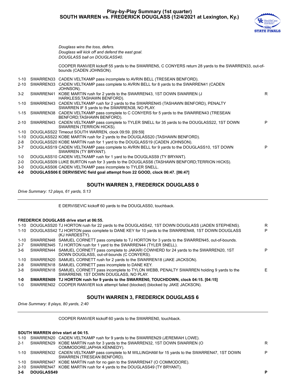#### **Play-by-Play Summary (1st quarter) SOUTH WARREN vs. FREDERICK DOUGLASS (12/4/2021 at Lexington, Ky.)**



R

P

P

*Douglass wins the toss, defers. Douglass will kick off and defend the east goal. DOUGLASS ball on DOUGLASS40.*

COOPER RANVIER kickoff 55 yards to the SWARREN5, C CONYERS return 28 yards to the SWARREN33, out-ofbounds (CADEN JOHNSON).

- 1-10 SWARREN33 CADEN VELTKAMP pass incomplete to AVRIN BELL (TRESEAN BENFORD).
- 2-10 SWARREN33 CADEN VELTKAMP pass complete to AVRIN BELL for 8 yards to the SWARREN41 (CADEN JOHNSON).
- 3-2 SWARREN41 KOBE MARTIN rush for 2 yards to the SWARREN43, 1ST DOWN SWARREN (J HARKLESS;TASHAWN BENFORD).
- 1-10 SWARREN43 CADEN VELTKAMP rush for 2 yards to the SWARREN45 (TASHAWN BENFORD), PENALTY SWARREN IF 5 yards to the SWARREN38, NO PLAY.
- 1-15 SWARREN38 CADEN VELTKAMP pass complete to C CONYERS for 5 yards to the SWARREN43 (TRESEAN BENFORD;TASHAWN BENFORD).
- 2-10 SWARREN43 CADEN VELTKAMP pass complete to TYLER SNELL for 35 yards to the DOUGLASS22, 1ST DOWN SWARREN (TERRION HICKS).
- 1-10 DOUGLASS22 Timeout SOUTH WARREN, clock 09:59. [09:59]
- 1-10 DOUGLASS22 KOBE MARTIN rush for 2 yards to the DOUGLASS20 (TASHAWN BENFORD).
- 2-8 DOUGLASS20 KOBE MARTIN rush for 1 yard to the DOUGLASS19 (CADEN JOHNSON).
- 3-7 DOUGLASS19 CADEN VELTKAMP pass complete to AVRIN BELL for 9 yards to the DOUGLASS10, 1ST DOWN SWARREN (TY BRYANT).
- 1-0 DOUGLASS10 CADEN VELTKAMP rush for 1 yard to the DOUGLASS9 (TY BRYANT).
- 2-0 DOUGLASS09 LUKE BURTON rush for 3 yards to the DOUGLASS6 (TASHAWN BENFORD;TERRION HICKS).
- 3-0 DOUGLASS06 CADEN VELTKAMP pass incomplete to TYLER SNELL.
- **4-0 DOUGLASS06 E DERVISEVIC field goal attempt from 22 GOOD, clock 06:47. [06:47]**

#### **SOUTH WARREN 3, FREDERICK DOUGLASS 0**

*Drive Summary: 12 plays, 61 yards, 5:13*

E DERVISEVIC kickoff 60 yards to the DOUGLASS0, touchback.

#### **FREDERICK DOUGLASS drive start at 06:55.**

| 1-10     | DOUGLASS20 TJ HORTON rush for 22 yards to the DOUGLASS42, 1ST DOWN DOUGLASS (JADEN STEPHENS).                                           | R  |
|----------|-----------------------------------------------------------------------------------------------------------------------------------------|----|
| $1 - 10$ | DOUGLASS42 TJ HORTON pass complete to DANE KEY for 10 yards to the SWARREN48, 1ST DOWN DOUGLASS<br>(KJ HARDESTY).                       | P  |
| 1-10     | SWARREN48 SAMUEL CORNETT pass complete to TJ HORTON for 3 yards to the SWARREN45, out-of-bounds.                                        |    |
| $2 - 7$  | SWARREN45 TJ HORTON rush for 1 yard to the SWARREN44 (TYLER SNELL).                                                                     |    |
| 3-6      | SWARREN44 SAMUEL CORNETT pass complete to JAKARI COWHERD for 24 yards to the SWARREN20, 1ST                                             | P  |
|          | DOWN DOUGLASS, out-of-bounds (C CONYERS).                                                                                               |    |
| 1-10     | SWARREN20 SAMUEL CORNETT rush for 2 yards to the SWARREN18 (JAKE JACKSON).                                                              |    |
| 2-8      | SWARREN18 SAMUEL CORNETT pass incomplete to DANE KEY.                                                                                   |    |
| $3-8$    | SWARREN18 SAMUEL CORNETT pass incomplete to TYLON WEBB, PENALTY SWARREN holding 9 yards to the<br>SWARREN9, 1ST DOWN DOUGLASS, NO PLAY. | F. |
| 1-0      | SWARREN09 TJ HORTON rush for 9 yards to the SWARREN0, TOUCHDOWN, clock 04:15. [04:15]                                                   |    |
| 1-0      | SWARREN02 COOPER RANVIER kick attempt failed (blocked) (blocked by JAKE JACKSON).                                                       |    |

#### **SOUTH WARREN 3, FREDERICK DOUGLASS 6**

*Drive Summary: 8 plays, 80 yards, 2:40*

COOPER RANVIER kickoff 60 yards to the SWARREN0, touchback.

#### **SOUTH WARREN drive start at 04:15.**

|                             | P                                                                                                                                                                                                                                                                                                                                                                                                                                                         |
|-----------------------------|-----------------------------------------------------------------------------------------------------------------------------------------------------------------------------------------------------------------------------------------------------------------------------------------------------------------------------------------------------------------------------------------------------------------------------------------------------------|
|                             |                                                                                                                                                                                                                                                                                                                                                                                                                                                           |
|                             |                                                                                                                                                                                                                                                                                                                                                                                                                                                           |
| SWARREN (TRESEAN BENFORD).  | P                                                                                                                                                                                                                                                                                                                                                                                                                                                         |
| COMMODORE; JAPHIA KENNEDY). | R.                                                                                                                                                                                                                                                                                                                                                                                                                                                        |
|                             |                                                                                                                                                                                                                                                                                                                                                                                                                                                           |
|                             | 1-10 SWARREN20 CADEN VELTKAMP rush for 9 yards to the SWARREN29 (JEREMIAH LOWE).<br>SWARREN29 KOBE MARTIN rush for 3 yards to the SWARREN32, 1ST DOWN SWARREN (O<br>1-10 SWARREN32 CADEN VELTKAMP pass complete to M WILLINGHAM for 15 yards to the SWARREN47, 1ST DOWN<br>1-10 SWARREN47 KOBE MARTIN rush for no gain to the SWARREN47 (O COMMODORE).<br>2-10 SWARREN47 KOBE MARTIN rush for 4 yards to the DOUGLASS49 (TY BRYANT).<br><b>DOUGLASS49</b> |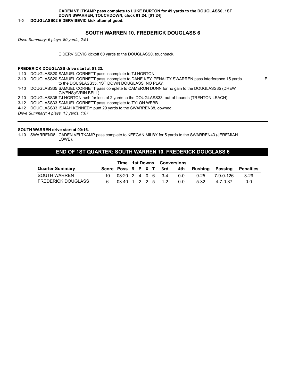#### **1-0 DOUGLASS02 E DERVISEVIC kick attempt good.**

#### **SOUTH WARREN 10, FREDERICK DOUGLASS 6**

E

*Drive Summary: 6 plays, 80 yards, 2:51*

E DERVISEVIC kickoff 60 yards to the DOUGLASS0, touchback.

#### **FREDERICK DOUGLASS drive start at 01:23.**

1-10 DOUGLASS20 SAMUEL CORNETT pass incomplete to TJ HORTON.

2-10 DOUGLASS20 SAMUEL CORNETT pass incomplete to DANE KEY, PENALTY SWARREN pass interference 15 yards to the DOUGLASS35, 1ST DOWN DOUGLASS, NO PLAY.

1-10 DOUGLASS35 SAMUEL CORNETT pass complete to CAMERON DUNN for no gain to the DOUGLASS35 (DREW GIVENS;AVRIN BELL).

2-10 DOUGLASS35 TJ HORTON rush for loss of 2 yards to the DOUGLASS33, out-of-bounds (TRENTON LEACH).

3-12 DOUGLASS33 SAMUEL CORNETT pass incomplete to TYLON WEBB.

4-12 DOUGLASS33 ISAIAH KENNEDY punt 29 yards to the SWARREN38, downed.

*Drive Summary: 4 plays, 13 yards, 1:07*

#### **SOUTH WARREN drive start at 00:16.**

1-10 SWARREN38 CADEN VELTKAMP pass complete to KEEGAN MILBY for 5 yards to the SWARREN43 (JEREMIAH LOWE).

#### **END OF 1ST QUARTER: SOUTH WARREN 10, FREDERICK DOUGLASS 6**

|                           |                        |                                                   | <b>Time 1st Downs Conversions</b> |  |  |  |            |          |                               |        |
|---------------------------|------------------------|---------------------------------------------------|-----------------------------------|--|--|--|------------|----------|-------------------------------|--------|
| <b>Quarter Summary</b>    | Score Poss R P X T 3rd |                                                   |                                   |  |  |  |            |          | 4th Rushing Passing Penalties |        |
| SOUTH WARREN              | 1∩_                    | $08:20$ 2 4 0 6 3-4                               |                                   |  |  |  | <u>ດ-ດ</u> | $9 - 25$ | 7-9-0-126                     | $3-29$ |
| <b>FREDERICK DOUGLASS</b> |                        | $03:40 \quad 1 \quad 2 \quad 2 \quad 5 \quad 1-2$ |                                   |  |  |  | 0-0        | $5-32$   | 4-7-0-37                      | 0-0    |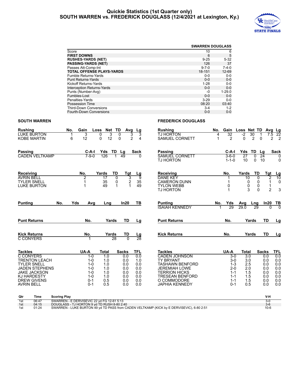#### **Quickie Statistics (1st Quarter only) SOUTH WARREN vs. FREDERICK DOUGLASS (12/4/2021 at Lexington, Ky.)**



|                                   |             | <b>SWARREN DOUGLASS</b> |
|-----------------------------------|-------------|-------------------------|
| Score                             | 10          | 6                       |
| <b>FIRST DOWNS</b>                | 6           | 5                       |
| <b>RUSHES-YARDS (NET)</b>         | $9 - 25$    | $5 - 32$                |
| <b>PASSING-YARDS (NET)</b>        | 126         | 37                      |
| Passes Att-Comp-Int               | $9 - 7 - 0$ | $7 - 4 - 0$             |
| <b>TOTAL OFFENSE PLAYS-YARDS</b>  | 18-151      | 12-69                   |
| <b>Fumble Returns-Yards</b>       | $0 - 0$     | $0-0$                   |
| <b>Punt Returns-Yards</b>         | $0 - 0$     | $0 - 0$                 |
| Kickoff Returns-Yards             | $1 - 28$    | $0-0$                   |
| <b>Interception Returns-Yards</b> | $0 - 0$     | $0 - 0$                 |
| Punts (Number-Avg)                | -0          | $1 - 29.0$              |
| Fumbles-Lost                      | $0 - 0$     | $0 - 0$                 |
| Penalties-Yards                   | $3 - 29$    | $0 - 0$                 |
| <b>Possession Time</b>            | 08:20       | 03:40                   |
| <b>Third-Down Conversions</b>     | $3 - 4$     | $1 - 2$                 |
| <b>Fourth-Down Conversions</b>    | $0 - 0$     | $0 - 0$                 |

#### **SOUTH WARREN FREDERICK DOUGLASS**

#### **Rushing No. Gain Loss Net TD Avg Lg** LUKE BURTON 1 3 0 3 0 3 3<br>KOBE MARTIN 6 12 0 12 0 2 4 KOBE MARTIN **Rushing No. Gain Loss Net TD Avg Lg** TJ HORTON 4 32 -2 30 1<br>SAMUFICORNETT 1 2 0 2 0 SAMUEL CORNETT **Passing C-A-I Yds TD Lg Sack** CADEN VELTKAMP **Passing C-A-I Yds TD Lg Sack** SAMUEL CORNETT 3-6-0 27 0 24 0 **TJ HORTON Receiving No. Yards TD Tgt Lg** AVRIN BELL 2 17 0 3 9<br>TYLER SNELL 1 35 0 2 35 TYLER SNELL 1 35 0 2 35 LUKE BURTON **Receiving No. Yards TD Tgt Lg** 02 10 DANE KEY 1 10 0 2 10<br>
CAMERON DUNN 1 0 0 1 0 CAMERON DUNN  $\begin{array}{ccccccccc} 1 & 0 & 0 & 1 \\ 1 & 0 & 0 & 1 \end{array}$ TYLON WEBB 0 0 0 1 TJ HORTON 1 3 0 2 3 **Punting No. Yds Avg Lng In20 TB Punting No. Yds Avg Lng In20 TB** ISAIAH KENNEDY 1 29 29.0 29 0 0 **Punt Returns No. Yards TD Lg Punt Returns No. Yards TD Lg Kick Returns No. Yards TD Lg C CONYERS Kick Returns No. Yards TD Lg Tackles UA-A Total Sacks TFL** C CONYERS 1-0 1.0 0.0 0.0 TRENTON LEACH 1-0 1.0 0.0 1.0<br>1-0 1.0 0.0 0.0 1.0 TYLER SNELL 1-0 1.0 0.0 0.0 JADEN STEPHENS 1-0 1.0 0.0 0.0 JAKE JACKSON 1-0 1.0 0.0 0.0 KJ HARDESTY 1-0 1.0 0.0 0.0 DREW GIVENS 0-1 0.5 0.0 0.0 **AVRIN BELL Tackles UA-A Total Sacks TFL** CADEN JOHNSON 3-0 3.0 0.0 0.0<br>TY BRYANT 3-0 3.0 0.0 0.0 TY BRYANT 3-0 3.0 0.0 0.0 TASHAWN BENFORD 1-3 2.5 0.0 0.0 JEREMIAH LOWE 2-0 2.0 0.0 0.0 TERRION HICKS 1-1 1.5 0.0 0.0 TRESEAN BENFORD 1-1 1.5 0.0 0.0<br>O COMMODORE 1-1 1.5 0.0 0.0 O COMMODORE  $\begin{array}{cccc} 1-1 & 1.5 & 0.0 & 0.0 \\ JAPHIA KENNEDY & 0-1 & 0.5 & 0.0 \\ 0.0 & 0.0 & 0.0 & 0.0 \\ \end{array}$ **JAPHIA KENNEDY Qtr Time Scoring Play V-H** 1st 06:47 SWARREN - E DERVISEVIC 22 yd FG 12-61 5:13<br>1st 04:15 DOUGLASS - TJ HORTON 9 yd TD RUSH 8-80 2:40<br>1st 01:24 SWARREN - LUKE BURTON 49 yd TD PASS from CADEN VELTKAMP (KICK by E DERVISEVIC), 6-80 2:51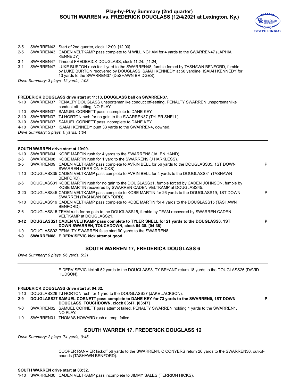#### **Play-by-Play Summary (2nd quarter) SOUTH WARREN vs. FREDERICK DOUGLASS (12/4/2021 at Lexington, Ky.)**



**P**

- 2-5 SWARREN43 Start of 2nd quarter, clock 12:00. [12:00]
- 2-5 SWARREN43 CADEN VELTKAMP pass complete to M WILLINGHAM for 4 yards to the SWARREN47 (JAPHIA KENNEDY).
- 3-1 SWARREN47 Timeout FREDERICK DOUGLASS, clock 11:24. [11:24]
- 3-1 SWARREN47 LUKE BURTON rush for 1 yard to the SWARREN48, fumble forced by TASHAWN BENFORD, fumble by LUKE BURTON recovered by DOUGLASS ISAIAH KENNEDY at 50 yardline, ISAIAH KENNEDY for 13 yards to the SWARREN37 (DeSHAWN BRIDGES).

*Drive Summary: 3 plays, 12 yards, 1:03*

#### **FREDERICK DOUGLASS drive start at 11:13, DOUGLASS ball on SWARREN37.**

1-10 SWARREN37 PENALTY DOUGLASS unsportsmanlike conduct off-setting, PENALTY SWARREN unsportsmanlike conduct off-setting, NO PLAY.

- 1-10 SWARREN37 SAMUEL CORNETT pass incomplete to DANE KEY. 2-10 SWARREN37 TJ HORTON rush for no gain to the SWARREN37 (TYLER SNELL).
- 3-10 SWARREN37 SAMUEL CORNETT pass incomplete to DANE KEY.
- 4-10 SWARREN37 ISAIAH KENNEDY punt 33 yards to the SWARREN4, downed.
- 
- *Drive Summary: 3 plays, 0 yards, 1:04*

#### **SOUTH WARREN drive start at 10:09.**

| $1 - 10$ | SWARREN04 KOBE MARTIN rush for 4 yards to the SWARREN8 (JALEN HAND).                                                                                                   |   |
|----------|------------------------------------------------------------------------------------------------------------------------------------------------------------------------|---|
| $2-6$    | SWARREN08 KOBE MARTIN rush for 1 yard to the SWARREN9 (J HARKLESS).                                                                                                    |   |
| $3 - 5$  | SWARREN09 CADEN VELTKAMP pass complete to AVRIN BELL for 56 yards to the DOUGLASS35, 1ST DOWN<br>SWARREN (TERRION HICKS).                                              | P |
| $1 - 10$ | DOUGLASS35 CADEN VELTKAMP pass complete to AVRIN BELL for 4 yards to the DOUGLASS31 (TASHAWN<br>BENFORD).                                                              |   |
| $2-6$    | DOUGLASS31 KOBE MARTIN rush for no gain to the DOUGLASS31, fumble forced by CADEN JOHNSON, fumble by<br>KOBE MARTIN recovered by SWARREN CADEN VELTKAMP at DOUGLASS45. |   |
| $3 - 20$ | DOUGLASS45 CADEN VELTKAMP pass complete to KOBE MARTIN for 26 yards to the DOUGLASS19, 1ST DOWN<br>SWARREN (TASHAWN BENFORD).                                          | Р |
| $1 - 10$ | DOUGLASS19 CADEN VELTKAMP pass complete to KOBE MARTIN for 4 yards to the DOUGLASS15 (TASHAWN<br>BENFORD).                                                             |   |
| $2-6$    | DOUGLASS15 TEAM rush for no gain to the DOUGLASS15, fumble by TEAM recovered by SWARREN CADEN<br>VELTKAMP at DOUGLASS21.                                               |   |
| $3 - 12$ | DOUGLASS21 CADEN VELTKAMP pass complete to TYLER SNELL for 21 yards to the DOUGLASS0, 1ST<br>DOWN SWARREN, TOUCHDOWN, clock 04:38. [04:38]                             | Р |
| 1-0      | DOUGLASS02 PENALTY SWARREN false start 90 yards to the SWARREN8.                                                                                                       |   |
|          |                                                                                                                                                                        |   |

**1-0 SWARREN08 E DERVISEVIC kick attempt good.**

#### **SOUTH WARREN 17, FREDERICK DOUGLASS 6**

*Drive Summary: 9 plays, 96 yards, 5:31*

E DERVISEVIC kickoff 52 yards to the DOUGLASS8, TY BRYANT return 18 yards to the DOUGLASS26 (DAVID HUDSON).

#### **FREDERICK DOUGLASS drive start at 04:32.**

1-10 DOUGLASS26 TJ HORTON rush for 1 yard to the DOUGLASS27 (JAKE JACKSON).

- **2-9 DOUGLASS27 SAMUEL CORNETT pass complete to DANE KEY for 73 yards to the SWARREN0, 1ST DOWN DOUGLASS, TOUCHDOWN, clock 03:47. [03:47]**
- 1-0 SWARREN02 SAMUEL CORNETT pass attempt failed, PENALTY SWARREN holding 1 yards to the SWARREN1, NO PLAY.
- 1-0 SWARREN01 THOMAS HOWARD rush attempt failed.

#### **SOUTH WARREN 17, FREDERICK DOUGLASS 12**

*Drive Summary: 2 plays, 74 yards, 0:45*

COOPER RANVIER kickoff 56 yards to the SWARREN4, C CONYERS return 26 yards to the SWARREN30, out-ofbounds (TASHAWN BENFORD).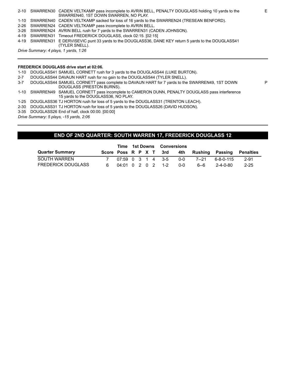|                                       | 2-10 SWARREN30 CADEN VELTKAMP pass incomplete to AVRIN BELL, PENALTY DOUGLASS holding 10 yards to the<br>SWARREN40, 1ST DOWN SWARREN, NO PLAY. |  |  |  |  |  |  |  |
|---------------------------------------|------------------------------------------------------------------------------------------------------------------------------------------------|--|--|--|--|--|--|--|
|                                       | 1-10 SWARREN40 CADEN VELTKAMP sacked for loss of 16 yards to the SWARREN24 (TRESEAN BENFORD).                                                  |  |  |  |  |  |  |  |
|                                       | 2-26 SWARREN24 CADEN VELTKAMP pass incomplete to AVRIN BELL.                                                                                   |  |  |  |  |  |  |  |
|                                       | 3-26 SWARREN24 AVRIN BELL rush for 7 yards to the SWARREN31 (CADEN JOHNSON).                                                                   |  |  |  |  |  |  |  |
|                                       | 4-19 SWARREN31 Timeout FREDERICK DOUGLASS, clock 02:15, [02:15]                                                                                |  |  |  |  |  |  |  |
|                                       | 4-19 SWARREN31 E DERVISEVIC punt 33 yards to the DOUGLASS36, DANE KEY return 5 yards to the DOUGLASS41                                         |  |  |  |  |  |  |  |
|                                       | (TYLER SNELL).                                                                                                                                 |  |  |  |  |  |  |  |
| Drive Summary: 4 plays, 1 yards, 1:26 |                                                                                                                                                |  |  |  |  |  |  |  |

#### **FREDERICK DOUGLASS drive start at 02:06.**

1-10 DOUGLASS41 SAMUEL CORNETT rush for 3 yards to the DOUGLASS44 (LUKE BURTON).

- 2-7 DOUGLASS44 DAVAUN HART rush for no gain to the DOUGLASS44 (TYLER SNELL).
- 3-7 DOUGLASS44 SAMUEL CORNETT pass complete to DAVAUN HART for 7 yards to the SWARREN49, 1ST DOWN DOUGLASS (PRESTON BURNS).
- 1-10 SWARREN49 SAMUEL CORNETT pass incomplete to CAMERON DUNN, PENALTY DOUGLASS pass interference 15 yards to the DOUGLASS36, NO PLAY.
- 1-25 DOUGLASS36 TJ HORTON rush for loss of 5 yards to the DOUGLASS31 (TRENTON LEACH).
- 2-30 DOUGLASS31 TJ HORTON rush for loss of 5 yards to the DOUGLASS26 (DAVID HUDSON).
- 3-35 DOUGLASS26 End of half, clock 00:00. [00:00]

*Drive Summary: 5 plays, -15 yards, 2:06*

#### **END OF 2ND QUARTER: SOUTH WARREN 17, FREDERICK DOUGLASS 12**

|                           |                                                   | <b>Time 1st Downs Conversions</b> |  |  |  |            |       |                                                      |          |
|---------------------------|---------------------------------------------------|-----------------------------------|--|--|--|------------|-------|------------------------------------------------------|----------|
| <b>Quarter Summary</b>    |                                                   |                                   |  |  |  |            |       | Score Poss R P X T 3rd 4th Rushing Passing Penalties |          |
| SOUTH WARREN              | $07:59$ 0 3 1 4 3-5                               |                                   |  |  |  | 0-0        | 7--21 | Რ-Გ-Ი-115                                            | $2 - 91$ |
| <b>FREDERICK DOUGLASS</b> | $04:01 \quad 0 \quad 2 \quad 0 \quad 2 \quad 1-2$ |                                   |  |  |  | <u>ດ-ດ</u> | .6--ი | 2-4-0-80                                             | $2 - 25$ |

P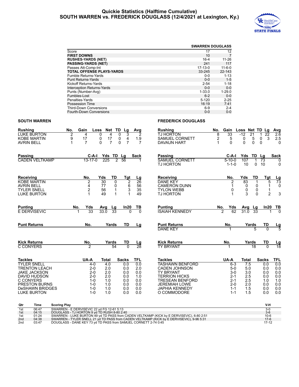#### **Quickie Statistics (Halftime Cumulative) SOUTH WARREN vs. FREDERICK DOUGLASS (12/4/2021 at Lexington, Ky.)**



|                                   |            | <b>SWARREN DOUGLASS</b> |
|-----------------------------------|------------|-------------------------|
| Score                             | 17         | 12                      |
| <b>FIRST DOWNS</b>                | 10         |                         |
| <b>RUSHES-YARDS (NET)</b>         | $16 - 4$   | 11-26                   |
| <b>PASSING-YARDS (NET)</b>        | 241        | 117                     |
| Passes Att-Comp-Int               | $17-13-0$  | $11 - 6 - 0$            |
| <b>TOTAL OFFENSE PLAYS-YARDS</b>  | 33-245     | $22 - 143$              |
| Fumble Returns-Yards              | $0 - 0$    | $1 - 13$                |
| <b>Punt Returns-Yards</b>         | $0 - 0$    | $1 - 5$                 |
| Kickoff Returns-Yards             | $2 - 54$   | $1 - 18$                |
| <b>Interception Returns-Yards</b> | $0 - 0$    | $0 - 0$                 |
| Punts (Number-Avg)                | $1 - 33.0$ | $1 - 29.0$              |
| Fumbles-Lost                      | $6 - 2$    | $0 - 0$                 |
| Penalties-Yards                   | $5 - 120$  | $2 - 25$                |
| Possession Time                   | 16:19      | 7:41                    |
| <b>Third-Down Conversions</b>     | $6-9$      | $2 - 4$                 |
| <b>Fourth-Down Conversions</b>    | $0 - 0$    | $0 - 0$                 |

#### **SOUTH WARREN FREDERICK DOUGLASS**

#### **Rushing No. Gain Loss Net TD Lg Avg** LUKE BURTON 2 4 0 4 0 3 2<br>KOBE MARTIN 9 17 0 17 0 4 1.9 KOBE MARTIN 9 17 0 17 0 4 1.9 **AVRIN BELL Rushing No. Gain Loss Net TD Lg Avg Rushing No. Gain Loss Net TD Lg**<br>
TJ HORTON 8 33 -12 21 1 22<br>
SAMUEL CORNETT 2 5 0 5 0 3 SAMUEL CORNETT 2 5 0 5 0 3 2.5<br>
DAVALIN HART 1 0 0 0 0 0 DAVAUN HART **Passing C-A-I Yds TD Lg Sack** CADEN VELTKAMP 13-17-0 225 2 56 1 **Passing C-A-I Yds TD Lg Sack** SAMUEL CORNETT 5-10-0 107 1 73 0 TJ HORTON **Receiving No. Yds TD Tgt Lg** KOBE MARTIN 2 30 0 2 26 AVRIN BELL 4 77 0 6 56<br>TYLER SNELL 2 56 1 3 35 TYLER SNELL 2 56 1 3 35 LUKE BURTON 1 49 1 1 **Receiving No. Yds TD Tgt Lg** 03 DANE KEY 2 83 1 5 73<br>
CAMERON DUNN 2 1 0 0 1 0 CAMERON DUNN  $\begin{array}{ccc} 1 & 0 & 0 \\ T{\rm YLON} & WEBB & 0 & 0 \end{array}$ TYLON WEBB 0 0 0 0 1<br>TJ HORTON 1 3 0 2 TJ HORTON 1 3 0 2 3 **Punting No. Yds Avg Lg In20 TB E DERVISEVIC Punting No. Yds Avg Lg In20 TB ISAIAH KENNEDY Punt Returns No. Yards TD Lg Punt Returns No. Yards TD Lg** Punt Returns **No.** No. Yards TD Lg<br>
DANE KEY 1 5 0 5 **Kick Returns No. Yards TD Lg C CONYERS Kick Returns No. Yards TD Lg** TY BRYANT 1 **Tackles UA-A Total Sacks TFL** TYLER SNELL 4-0 4.0 0.0 0.0<br>TRENTON LEACH 2-0 2.0 0.0 2.0 TRENTON LEACH 2-0 2.0 0.0 2.0 JAKE JACKSON 2-0 2.0 0.0 0.0 DAVID HUDSON 2-0 2.0 0.0 1.0 C CONYERS 1-0 1.0 0.0 0.0 PRESTON BURNS<br>DeSHAWN BRIDGES 1-0 1.0 0.0 0.0 DeSHAWN BRIDGES 1-0 1.0 0.0 0.0 LUKE BURTON **Tackles UA-A Total Sacks TFL** TASHAWN BENFORD 6-3 7.5 0.0 0.0<br>CADEN JOHNSON 5-0 5.0 0.0 0.0 CADEN JOHNSON 5-0 5.0 0.0 0.0<br>TY BRYANT 3-0 3.0 0.0 0.0 TY BRYANT  $3-0$   $3.0$   $0.0$  0.0<br>
TERRION HICKS 2-1 2.5 0.0 0.0<br>
TRESEAN BENFORD 2-1 2.5 1.0 1.0 TERRION HICKS 2-1 2.5 0.0 0.0 TRESEAN BENFORD 2-1 2.5 1.0 1.0 JEREMIAH LOWE 2-0 2.0 0.0 0.0 JAPHIA KENNEDY 1-1 1.5 0.0 0.0 O COMMODORE 1-1 1.5 0.0 0.0 **Qtr Time Scoring Play V-H**

| utr             | ı ıme | Scoring Play                                                                              | v-n     |
|-----------------|-------|-------------------------------------------------------------------------------------------|---------|
| 1st             | 06:47 | SWARREN - E DERVISEVIC 22 vd FG 12-61 5:13                                                | $3-0$   |
| 1st             | 04:15 | DOUGLASS - TJ HORTON 9 yd TD RUSH 8-80 2:40                                               | $3-6$   |
| 1st             | 01:24 | SWARREN - LUKE BURTON 49 yd TD PASS from CADEN VELTKAMP (KICK by E DERVISEVIC), 6-80 2:51 | $10-6$  |
| 2 <sub>nd</sub> | 04:38 | SWARREN - TYLER SNELL 21 yd TD PASS from CADEN VELTKAMP (KICK by E DERVISEVIC), 9-96 5:31 | $17-6$  |
| 2nd             | 03:47 | DOUGLASS - DANE KEY 73 yd TD PASS from SAMUEL CORNETT 2-74 0:45                           | $17-12$ |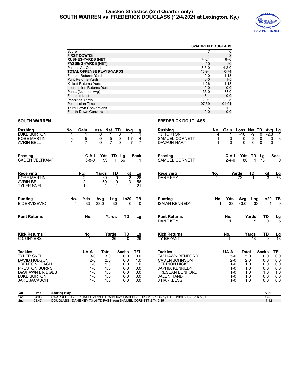#### **Quickie Statistics (2nd Quarter only) SOUTH WARREN vs. FREDERICK DOUGLASS (12/4/2021 at Lexington, Ky.)**



|                                   |             | <b>SWARREN DOUGLASS</b> |
|-----------------------------------|-------------|-------------------------|
| Score                             |             | 6                       |
| <b>FIRST DOWNS</b>                | 4           | 2                       |
| <b>RUSHES-YARDS (NET)</b>         | $7 - 21$    | $6 - 6$                 |
| <b>PASSING-YARDS (NET)</b>        | 115         | 80                      |
| Passes Att-Comp-Int               | $8 - 6 - 0$ | $4 - 2 - 0$             |
| <b>TOTAL OFFENSE PLAYS-YARDS</b>  | 15-94       | $10 - 74$               |
| Fumble Returns-Yards              | $0 - 0$     | $1 - 13$                |
| <b>Punt Returns-Yards</b>         | $0 - 0$     | $1 - 5$                 |
| Kickoff Returns-Yards             | $1 - 26$    | $1 - 18$                |
| <b>Interception Returns-Yards</b> | $0 - 0$     | $0 - 0$                 |
| Punts (Number-Avg)                | $1 - 33.0$  | $1 - 33.0$              |
| Fumbles-Lost                      | $3 - 1$     | $0 - 0$                 |
| Penalties-Yards                   | $2 - 91$    | $2 - 25$                |
| Possession Time                   | 07:59       | 04:01                   |
| <b>Third-Down Conversions</b>     | $3 - 5$     | $1 - 2$                 |
| <b>Fourth-Down Conversions</b>    | $0 - 0$     | $0 - 0$                 |

#### **SOUTH WARREN FREDERICK DOUGLASS**

| <b>Rushing</b>                          | <b>LUKE BURTON</b>                                                                                                                                        | No.                                                             | Gain                                                                    | Net<br>Loss<br>0                                           | TD<br>Avg<br>0                                | Lg                                            | Rushing<br><b>TJ HORTON</b>                                                                                                                                         | No.<br>4 | Gain                                                                    | Loss Net TD<br>$-10$ | -9                                            | 0<br>$-2.3$                                   | Avg_Lg<br>1                                   |
|-----------------------------------------|-----------------------------------------------------------------------------------------------------------------------------------------------------------|-----------------------------------------------------------------|-------------------------------------------------------------------------|------------------------------------------------------------|-----------------------------------------------|-----------------------------------------------|---------------------------------------------------------------------------------------------------------------------------------------------------------------------|----------|-------------------------------------------------------------------------|----------------------|-----------------------------------------------|-----------------------------------------------|-----------------------------------------------|
| <b>AVRIN BELL</b>                       | <b>KOBE MARTIN</b>                                                                                                                                        | 3<br>1                                                          | 5<br>$\overline{7}$                                                     | $\frac{5}{7}$<br>0<br>$\Omega$                             | 0<br>1.7<br>$\Omega$<br>$\overline{7}$        | 4<br>$\overline{7}$                           | SAMUEL CORNETT<br><b>DAVAUN HART</b>                                                                                                                                | 1<br>1   | 3<br>0                                                                  | 0<br>$\Omega$        | 3<br>$\mathbf{0}$                             | 0<br>$\Omega$                                 | 3<br>3<br>$\Omega$                            |
| Passing                                 | <b>CADEN VELTKAMP</b>                                                                                                                                     |                                                                 | C-A-I<br>$6 - 8 - 0$                                                    | Yds<br>TD Lg<br>99<br>1                                    | 56                                            | Sack                                          | Passing<br><b>SAMUEL CORNETT</b>                                                                                                                                    |          | C-A-I<br>$2 - 4 - 0$                                                    | 80                   | Yds TD                                        | Lg<br>73                                      | <b>Sack</b>                                   |
| <b>Receiving</b><br><b>AVRIN BELL</b>   | <b>KOBE MARTIN</b><br><b>TYLER SNELL</b>                                                                                                                  |                                                                 | No.<br>$\overline{2}$<br>2<br>1                                         | Yards<br>TD<br>30<br>0<br>60<br>0<br>$\mathbf{1}$<br>21    | Tgt<br>2<br>3                                 | Lg<br>$\overline{26}$<br>56<br>21             | <b>Receiving</b><br><b>DANE KEY</b>                                                                                                                                 | No.      |                                                                         | Yards<br>73          | TD                                            | $\frac{Tgt}{3}$                               | $\frac{\text{Lg}}{73}$                        |
| <b>Punting</b>                          | <b>E DERVISEVIC</b>                                                                                                                                       | No.                                                             | Yds<br>33                                                               | Avg<br>Lng<br>33.0<br>$\overline{33}$                      | In20                                          | TB<br>$\Omega$                                | <b>Punting</b><br><b>ISAIAH KENNEDY</b>                                                                                                                             | No.      | Yds<br>33                                                               | Avg<br>33.0          | Lng<br>$\overline{33}$                        | In20                                          | <u>ТВ</u>                                     |
| <b>Punt Returns</b>                     |                                                                                                                                                           |                                                                 | No.                                                                     | Yards                                                      | TD                                            | Lg                                            | <b>Punt Returns</b><br><b>DANE KEY</b>                                                                                                                              |          | No.                                                                     |                      | Yards<br>5                                    | TD<br>$\Omega$                                | $\frac{\text{Lg}}{5}$                         |
| <b>Kick Returns</b><br><b>C CONYERS</b> |                                                                                                                                                           |                                                                 | No.                                                                     | Yards<br>26                                                | TD<br>$\Omega$                                | <u>Lg</u><br>$\overline{26}$                  | <b>Kick Returns</b><br><b>TY BRYANT</b>                                                                                                                             |          | No.                                                                     |                      | Yards<br>$\overline{18}$                      | TD<br>$\Omega$                                | $\frac{\text{Lg}}{18}$                        |
| <b>Tackles</b>                          |                                                                                                                                                           |                                                                 | UA-A                                                                    | <b>Total</b>                                               | <b>Sacks</b>                                  | TFL                                           | <b>Tackles</b>                                                                                                                                                      |          | UA-A                                                                    | <b>Total</b>         |                                               | <b>Sacks</b>                                  | TFL                                           |
|                                         | <b>TYLER SNELL</b><br><b>DAVID HUDSON</b><br><b>TRENTON LEACH</b><br>PRESTON BURNS<br><b>DeSHAWN BRIDGES</b><br><b>LUKE BURTON</b><br><b>JAKE JACKSON</b> |                                                                 | $3-0$<br>$2 - 0$<br>$1 - 0$<br>$1 - 0$<br>$1 - 0$<br>$1 - 0$<br>$1 - 0$ | $\overline{3.0}$<br>2.0<br>1.0<br>1.0<br>1.0<br>1.0<br>1.0 | 0.0<br>0.0<br>0.0<br>0.0<br>0.0<br>0.0<br>0.0 | 0.0<br>1.0<br>1.0<br>0.0<br>0.0<br>0.0<br>0.0 | <b>TASHAWN BENFORD</b><br><b>CADEN JOHNSON</b><br><b>TERRION HICKS</b><br><b>JAPHIA KENNEDY</b><br><b>TRESEAN BENFORD</b><br><b>JALEN HAND</b><br><b>J HARKLESS</b> |          | $5-0$<br>$2 - 0$<br>$1 - 0$<br>$1 - 0$<br>$1 - 0$<br>$1 - 0$<br>$1 - 0$ |                      | 5.0<br>2.0<br>1.0<br>1.0<br>1.0<br>1.0<br>1.0 | 0.0<br>0.0<br>0.0<br>0.0<br>1.0<br>0.0<br>0.0 | 0.0<br>0.0<br>0.0<br>0.0<br>1.0<br>0.0<br>0.0 |
| Qtr                                     | Time                                                                                                                                                      | <b>Scoring Play</b>                                             |                                                                         |                                                            |                                               |                                               |                                                                                                                                                                     |          |                                                                         |                      |                                               | V-H                                           |                                               |
| 2nd<br>2 <sub>nd</sub>                  | 04:38<br>03:47                                                                                                                                            | DOUGLASS - DANE KEY 73 yd TD PASS from SAMUEL CORNETT 2-74 0:45 |                                                                         |                                                            |                                               |                                               | SWARREN - TYLER SNELL 21 yd TD PASS from CADEN VELTKAMP (KICK by E DERVISEVIC), 9-96 5:31                                                                           |          |                                                                         |                      |                                               | $17-6$<br>$17 - 12$                           |                                               |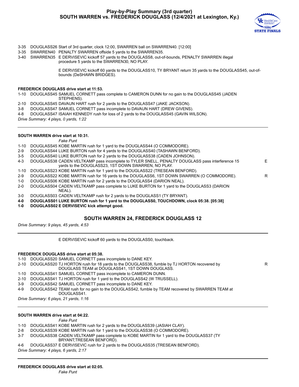

R

- 3-35 DOUGLASS26 Start of 3rd quarter, clock 12:00, SWARREN ball on SWARREN40. [12:00]
- 3-35 SWARREN40 PENALTY SWARREN offside 5 yards to the SWARREN35.
- 3-40 SWARREN35 E DERVISEVIC kickoff 57 yards to the DOUGLASS8, out-of-bounds, PENALTY SWARREN illegal procedure 5 yards to the SWARREN30, NO PLAY.

E DERVISEVIC kickoff 60 yards to the DOUGLASS10, TY BRYANT return 35 yards to the DOUGLASS45, out-ofbounds (DeSHAWN BRIDGES).

#### **FREDERICK DOUGLASS drive start at 11:53.**

1-10 DOUGLASS45 SAMUEL CORNETT pass complete to CAMERON DUNN for no gain to the DOUGLASS45 (JADEN STEPHENS).

- 2-10 DOUGLASS45 DAVAUN HART rush for 2 yards to the DOUGLASS47 (JAKE JACKSON).
- 3-8 DOUGLASS47 SAMUEL CORNETT pass incomplete to DAVAUN HART (DREW GIVENS).
- 4-8 DOUGLASS47 ISAIAH KENNEDY rush for loss of 2 yards to the DOUGLASS45 (GAVIN WILSON).

*Drive Summary: 4 plays, 0 yards, 1:22*

#### **SOUTH WARREN drive start at 10:31.**

*Fake Punt*

- 1-10 DOUGLASS45 KOBE MARTIN rush for 1 yard to the DOUGLASS44 (O COMMODORE).
- 2-9 DOUGLASS44 LUKE BURTON rush for 4 yards to the DOUGLASS40 (TASHAWN BENFORD).
- 3-5 DOUGLASS40 LUKE BURTON rush for 2 yards to the DOUGLASS38 (CADEN JOHNSON).
- 4-3 DOUGLASS38 CADEN VELTKAMP pass incomplete to TYLER SNELL, PENALTY DOUGLASS pass interference 15 yards to the DOUGLASS23, 1ST DOWN SWARREN, NO PLAY. E
- 1-10 DOUGLASS23 KOBE MARTIN rush for 1 yard to the DOUGLASS22 (TRESEAN BENFORD).
- 2-9 DOUGLASS22 KOBE MARTIN rush for 16 yards to the DOUGLASS6, 1ST DOWN SWARREN (O COMMODORE). R
- 1-0 DOUGLASS06 KOBE MARTIN rush for 2 yards to the DOUGLASS4 (DARION NEAL).
- 2-0 DOUGLASS04 CADEN VELTKAMP pass complete to LUKE BURTON for 1 yard to the DOUGLASS3 (DARION NEAL).
- 3-0 DOUGLASS03 CADEN VELTKAMP rush for 2 yards to the DOUGLASS1 (TY BRYANT).
- **4-0 DOUGLASS01 LUKE BURTON rush for 1 yard to the DOUGLASS0, TOUCHDOWN, clock 05:38. [05:38]**
- **1-0 DOUGLASS02 E DERVISEVIC kick attempt good.**

#### **SOUTH WARREN 24, FREDERICK DOUGLASS 12**

*Drive Summary: 9 plays, 45 yards, 4:53*

E DERVISEVIC kickoff 60 yards to the DOUGLASS0, touchback.

#### **FREDERICK DOUGLASS drive start at 05:38.**

- 1-10 DOUGLASS20 SAMUEL CORNETT pass incomplete to DANE KEY.
- 2-10 DOUGLASS20 TJ HORTON rush for 18 yards to the DOUGLASS38, fumble by TJ HORTON recovered by DOUGLASS TEAM at DOUGLASS41, 1ST DOWN DOUGLASS.
- 1-10 DOUGLASS41 SAMUEL CORNETT pass incomplete to CAMERON DUNN.
- 2-10 DOUGLASS41 TJ HORTON rush for 1 yard to the DOUGLASS42 (W TRUSSELL).
- 3-9 DOUGLASS42 SAMUEL CORNETT pass incomplete to DANE KEY.
- 4-9 DOUGLASS42 TEAM rush for no gain to the DOUGLASS42, fumble by TEAM recovered by SWARREN TEAM at DOUGLASS41.

*Drive Summary: 6 plays, 21 yards, 1:16*

#### **SOUTH WARREN drive start at 04:22.**

*Fake Punt*

- 1-10 DOUGLASS41 KOBE MARTIN rush for 2 yards to the DOUGLASS39 (JASIAH CLAY).
- 2-8 DOUGLASS39 KOBE MARTIN rush for 1 yard to the DOUGLASS38 (O COMMODORE).
- 3-7 DOUGLASS38 CADEN VELTKAMP pass complete to KOBE MARTIN for 1 yard to the DOUGLASS37 (TY BRYANT;TRESEAN BENFORD).
- 4-6 DOUGLASS37 E DERVISEVIC rush for 2 yards to the DOUGLASS35 (TRESEAN BENFORD).

*Drive Summary: 4 plays, 6 yards, 2:17*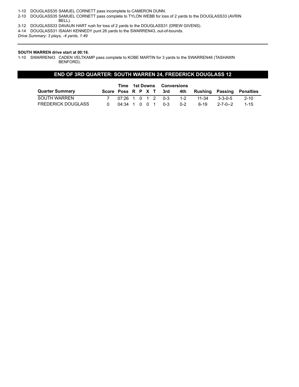1-10 DOUGLASS35 SAMUEL CORNETT pass incomplete to CAMERON DUNN.

- 2-10 DOUGLASS35 SAMUEL CORNETT pass complete to TYLON WEBB for loss of 2 yards to the DOUGLASS33 (AVRIN BELL).
- 3-12 DOUGLASS33 DAVAUN HART rush for loss of 2 yards to the DOUGLASS31 (DREW GIVENS).
- 4-14 DOUGLASS31 ISAIAH KENNEDY punt 26 yards to the SWARREN43, out-of-bounds.

*Drive Summary: 3 plays, -4 yards, 1:49*

#### **SOUTH WARREN drive start at 00:16.**

1-10 SWARREN43 CADEN VELTKAMP pass complete to KOBE MARTIN for 3 yards to the SWARREN46 (TASHAWN BENFORD).

#### **END OF 3RD QUARTER: SOUTH WARREN 24, FREDERICK DOUGLASS 12**

|                           |               |  |  | Time 1st Downs Conversions |                        |         |       |          |                           |
|---------------------------|---------------|--|--|----------------------------|------------------------|---------|-------|----------|---------------------------|
| <b>Quarter Summary</b>    |               |  |  |                            | Score Poss R P X T 3rd | 4th     |       |          | Rushing Passing Penalties |
| SOUTH WARREN              |               |  |  |                            | 07:26 1 0 1 2 0-3      | $1-2$   | 11-34 | 3-3-0-5  | -2-10                     |
| <b>FREDERICK DOUGLASS</b> | 04:34 1 0 0 1 |  |  |                            | 0-3                    | $0 - 2$ | ճ-19  | 2-7-0--2 | $1 - 15$                  |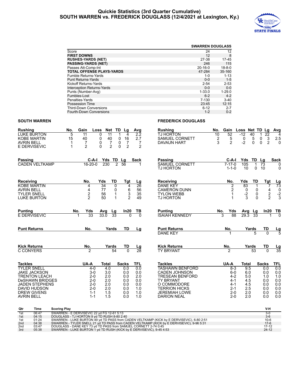#### **Quickie Statistics (3rd Quarter Cumulative) SOUTH WARREN vs. FREDERICK DOUGLASS (12/4/2021 at Lexington, Ky.)**



|                                   |               | <b>SWARREN DOUGLASS</b> |
|-----------------------------------|---------------|-------------------------|
| Score                             | 24            | 12                      |
| <b>FIRST DOWNS</b>                | 12            | 8                       |
| <b>RUSHES-YARDS (NET)</b>         | 27-38         | $17-45$                 |
| <b>PASSING-YARDS (NET)</b>        | 246           | 115                     |
| Passes Att-Comp-Int               | $20 - 16 - 0$ | $18 - 8 - 0$            |
| <b>TOTAL OFFENSE PLAYS-YARDS</b>  | 47-284        | 35-160                  |
| <b>Fumble Returns-Yards</b>       | 1-0           | $1 - 13$                |
| <b>Punt Returns-Yards</b>         | $0 - 0$       | $1 - 5$                 |
| Kickoff Returns-Yards             | $2 - 54$      | $2 - 53$                |
| <b>Interception Returns-Yards</b> | $0 - 0$       | $0 - 0$                 |
| Punts (Number-Avg)                | $1 - 33.0$    | $1 - 29.0$              |
| Fumbles-Lost                      | $6 - 2$       | $4 - 2$                 |
| Penalties-Yards                   | $7 - 130$     | $3-40$                  |
| Possession Time                   | 23:45         | 12:15                   |
| <b>Third-Down Conversions</b>     | $6 - 12$      | $2 - 7$                 |
| <b>Fourth-Down Conversions</b>    | $1 - 2$       | $0 - 2$                 |

### **SOUTH WARREN FREDERICK DOUGLASS**

| <b>Rushing</b>     | No. | Gain | Loss | <b>Net</b> | TD. | La | Ava | <b>Rushing</b><br>No.        | Gain | Loss | Net TD La |      | Ava |
|--------------------|-----|------|------|------------|-----|----|-----|------------------------------|------|------|-----------|------|-----|
| <b>LUKE BURTON</b> |     |      |      |            |     |    | -22 | TJ HORTON<br>10              | 52   | -12  | 40        | - 22 | 4   |
| KOBE MARTIN        |     | 40   |      | 40         |     | 16 |     | SAMUEL CORNETT               |      |      |           |      | 2.5 |
| <b>AVRIN BELL</b>  |     |      |      |            |     |    |     | <b>DAVAUN</b><br><b>HART</b> |      |      |           |      |     |
| E DERVISEVIC       |     |      |      |            |     |    |     |                              |      |      |           |      |     |

| <b>Passing</b>                                                                                                                                                                         |                     | $C-A-I$                                                                            | Yds                                                  | TD                                  | Lg                                                   | <b>Sack</b>                                          | <b>Passing</b>                                                                                                                                                                    |          | $C-A-I$                                                                    | Yds                                                  | TD                 | Lg                                                   | <b>Sack</b>                                          |
|----------------------------------------------------------------------------------------------------------------------------------------------------------------------------------------|---------------------|------------------------------------------------------------------------------------|------------------------------------------------------|-------------------------------------|------------------------------------------------------|------------------------------------------------------|-----------------------------------------------------------------------------------------------------------------------------------------------------------------------------------|----------|----------------------------------------------------------------------------|------------------------------------------------------|--------------------|------------------------------------------------------|------------------------------------------------------|
| <b>CADEN VELTKAMP</b>                                                                                                                                                                  |                     | $16 - 20 - 0$                                                                      | 230                                                  | $\overline{2}$                      | 56                                                   |                                                      | <b>SAMUEL CORNETT</b><br><b>TJ HORTON</b>                                                                                                                                         |          | $7 - 17 - 0$<br>$1 - 1 - 0$                                                | 105<br>10                                            | 1<br>$\mathbf 0$   | 73<br>10                                             | 0<br>$\Omega$                                        |
| Receiving                                                                                                                                                                              |                     | No.                                                                                | Yds<br>34                                            | TD                                  | Tgt                                                  | Lg<br>$\overline{26}$                                | Receiving                                                                                                                                                                         |          | No.                                                                        | Yds                                                  | TD                 | Tgt                                                  | $\frac{Lg}{73}$                                      |
| <b>KOBE MARTIN</b><br><b>AVRIN BELL</b><br><b>TYLER SNELL</b><br><b>LUKE BURTON</b>                                                                                                    |                     | 4<br>4<br>$\frac{2}{2}$                                                            | 77<br>56<br>50                                       | $\overline{0}$<br>0<br>$\mathbf{1}$ | 4<br>$^6_3$<br>$\overline{2}$                        | 56<br>35<br>49                                       | <b>DANE KEY</b><br><b>CAMERON DUNN</b><br><b>TYLON WEBB</b><br><b>TJ HORTON</b>                                                                                                   |          | $\overline{2}$<br>$\frac{2}{1}$                                            | 83<br>$\frac{0}{-2}$                                 | 0<br>0<br>$\Omega$ | $\frac{4}{2}$                                        | $\frac{0}{-2}$                                       |
| <b>Punting</b><br><b>E DERVISEVIC</b>                                                                                                                                                  | No.                 | Yds<br>$\overline{33}$                                                             | Avg<br>33.0                                          | Lg<br>33                            | In20<br>$\Omega$                                     | TВ<br>$\overline{0}$                                 | <b>Punting</b><br><b>ISAIAH KENNEDY</b>                                                                                                                                           | No.<br>3 | Yds<br>88                                                                  | Avg Lg<br>29.3                                       | 33                 | In20                                                 | $\frac{TB}{0}$                                       |
| <b>Punt Returns</b>                                                                                                                                                                    |                     | No.                                                                                |                                                      | Yards                               | TD                                                   | Lg                                                   | <b>Punt Returns</b><br><b>DANE KEY</b>                                                                                                                                            |          | No.<br>1                                                                   |                                                      | Yards<br>5         | TD<br>$\Omega$                                       | $\frac{\text{Lg}}{5}$                                |
| <b>Kick Returns</b>                                                                                                                                                                    |                     | No.                                                                                | Yards                                                |                                     | TD                                                   | <u>Lg</u>                                            | <b>Kick Returns</b>                                                                                                                                                               |          | No.                                                                        | Yards                                                |                    | TD                                                   | $\frac{\text{Lg}}{35}$                               |
| <b>C CONYERS</b>                                                                                                                                                                       |                     | $\overline{2}$                                                                     |                                                      | 54                                  | $\Omega$                                             | $\overline{28}$                                      | <b>TY BRYANT</b>                                                                                                                                                                  |          | $\overline{2}$                                                             |                                                      | 53                 | $\overline{0}$                                       |                                                      |
| <b>Tackles</b>                                                                                                                                                                         |                     | UA-A                                                                               | Total                                                |                                     | <b>Sacks</b>                                         | <b>TFL</b>                                           | <b>Tackles</b>                                                                                                                                                                    |          | UA-A                                                                       | Total                                                |                    | <b>Sacks</b>                                         | TFL                                                  |
| <b>TYLER SNELL</b><br><b>JAKE JACKSON</b><br><b>TRENTON LEACH</b><br><b>DeSHAWN BRIDGES</b><br><b>JADEN STEPHENS</b><br><b>DAVID HUDSON</b><br><b>DREW GIVENS</b><br><b>AVRIN BELL</b> |                     | $4 - 0$<br>$3-0$<br>$2 - 0$<br>$2 - 0$<br>$2 - 0$<br>$2 - 0$<br>$1 - 1$<br>$1 - 1$ | 4.0<br>3.0<br>2.0<br>2.0<br>2.0<br>2.0<br>1.5<br>1.5 |                                     | 0.0<br>0.0<br>0.0<br>0.0<br>0.0<br>0.0<br>0.0<br>0.0 | 0.0<br>0.0<br>2.0<br>0.0<br>0.0<br>1.0<br>1.0<br>1.0 | <b>TASHAWN BENFORD</b><br><b>CADEN JOHNSON</b><br><b>TRESEAN BENFORD</b><br><b>TY BRYANT</b><br>O COMMODORE<br><b>TERRION HICKS</b><br><b>JEREMIAH LOWE</b><br><b>DARION NEAL</b> |          | $8-3$<br>$6-0$<br>$4-2$<br>$4 - 1$<br>4-1<br>$2 - 1$<br>$2 - 0$<br>$2 - 0$ | 9.5<br>6.0<br>5.0<br>4.5<br>4.5<br>2.5<br>2.0<br>2.0 |                    | 0.0<br>0.0<br>1.0<br>0.0<br>0.0<br>0.0<br>0.0<br>0.0 | 0.0<br>0.0<br>1.0<br>0.0<br>0.0<br>0.0<br>0.0<br>0.0 |
| Qtr<br>Time                                                                                                                                                                            | <b>Scoring Play</b> |                                                                                    |                                                      |                                     |                                                      |                                                      |                                                                                                                                                                                   |          |                                                                            |                                                      |                    | V-H                                                  |                                                      |

| Qtr             | Time  | <b>Scoring Play</b>                                                                       | V-H     |
|-----------------|-------|-------------------------------------------------------------------------------------------|---------|
| 1st             | 06:47 | SWARREN - E DERVISEVIC 22 vd FG 12-61 5:13                                                |         |
| 1st             | 04:15 | DOUGLASS - TJ HORTON 9 vd TD RUSH 8-80 2:40                                               | $3-6$   |
| 1st             | 01:24 | SWARREN - LUKE BURTON 49 yd TD PASS from CADEN VELTKAMP (KICK by E DERVISEVIC). 6-80 2:51 | $10-6$  |
| 2 <sub>nd</sub> | 04:38 | SWARREN - TYLER SNELL 21 yd TD PASS from CADEN VELTKAMP (KICK by E DERVISEVIC), 9-96 5:31 | $17-6$  |
| 2 <sub>nd</sub> | 03:47 | DOUGLASS - DANE KEY 73 vd TD PASS from SAMUEL CORNETT 2-74 0:45                           | $17-12$ |
| 3rd             | 05:38 | SWARREN - LUKE BURTON 1 yd TD RUSH (KICK by E DERVISEVIC), 9-45 4:53                      | $24-12$ |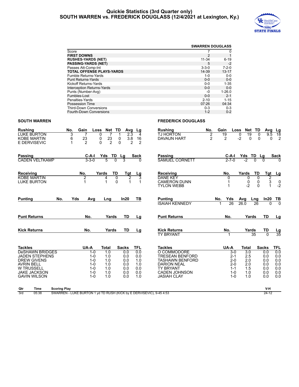#### **Quickie Statistics (3rd Quarter only) SOUTH WARREN vs. FREDERICK DOUGLASS (12/4/2021 at Lexington, Ky.)**



|                                   |             | <b>SWARREN DOUGLASS</b> |
|-----------------------------------|-------------|-------------------------|
| Score                             |             | 0                       |
| <b>FIRST DOWNS</b>                | 2           |                         |
| <b>RUSHES-YARDS (NET)</b>         | $11 - 34$   | $6 - 19$                |
| <b>PASSING-YARDS (NET)</b>        | 5           | $-2$                    |
| Passes Att-Comp-Int               | $3 - 3 - 0$ | $7 - 2 - 0$             |
| <b>TOTAL OFFENSE PLAYS-YARDS</b>  | 14-39       | $13 - 17$               |
| <b>Fumble Returns-Yards</b>       | $1 - 0$     | $0-0$                   |
| <b>Punt Returns-Yards</b>         | $0 - 0$     | $0 - 0$                 |
| Kickoff Returns-Yards             | $0 - 0$     | $1 - 35$                |
| <b>Interception Returns-Yards</b> | $0 - 0$     | $0 - 0$                 |
| Punts (Number-Avg)                | -0          | $1 - 26.0$              |
| Fumbles-Lost                      | $0 - 0$     | $2 - 1$                 |
| Penalties-Yards                   | $2 - 10$    | $1 - 15$                |
| Possession Time                   | 07:26       | 04:34                   |
| <b>Third-Down Conversions</b>     | $0 - 3$     | $0 - 3$                 |
| Fourth-Down Conversions           | $1 - 2$     | $0 - 2$                 |

#### **SOUTH WARREN FREDERICK DOUGLASS**

| <b>Rushing</b>                                           | No.                 | Gain<br>Loss                                                         | Net                                       | TD<br>Avg                   | Lg                                          | <b>Rushing</b>                                      | No.                 | Gain<br>Loss         | Net                         | TD                    | Avg<br>Lg                                                |
|----------------------------------------------------------|---------------------|----------------------------------------------------------------------|-------------------------------------------|-----------------------------|---------------------------------------------|-----------------------------------------------------|---------------------|----------------------|-----------------------------|-----------------------|----------------------------------------------------------|
| <b>LUKE BURTON</b><br><b>KOBE MARTIN</b><br>E DERVISEVIC |                     | 3<br>23<br>6<br>2                                                    | 0<br>7<br>$\frac{23}{2}$<br>0<br>$\Omega$ | 2.3<br>0<br>3.8<br>$\Omega$ | 4<br>16<br>$\mathfrak{p}$<br>$\mathfrak{p}$ | <b>TJ HORTON</b><br><b>DAVAUN HART</b>              | 2<br>$\overline{c}$ | 19<br>$\overline{c}$ | 19<br>0<br>$-2$<br>$\Omega$ | $\Omega$<br>$\Omega$  | $\overline{18}$<br>9.5<br>$\overline{2}$<br>$\mathbf{0}$ |
| <b>Passing</b><br><b>CADEN VELTKAMP</b>                  |                     | C-A-I<br>$3 - 3 - 0$                                                 | Yds TD<br>$\overline{5}$                  | Lg<br>3                     | Sack<br>$\Omega$                            | Passing<br><b>SAMUEL CORNETT</b>                    |                     | C-A-I<br>$2 - 7 - 0$ | Yds TD<br>-2                | <u>Lg</u><br>$\Omega$ | Sack<br>$\Omega$                                         |
| Receiving<br><b>KOBE MARTIN</b><br><b>LUKE BURTON</b>    |                     | No.<br>2                                                             | TD<br>Yards<br>0<br>4<br>0<br>1           | Tgt<br>$\overline{2}$       | $\frac{Lg}{3}$                              | Receiving<br><b>DANE KEY</b><br><b>CAMERON DUNN</b> |                     | No.<br>0             | Yards<br>0<br>0             | TD<br>$\Omega$<br>0   | Tgt<br><u>Lg</u><br>2<br>3<br>0                          |
| <b>Punting</b>                                           | No.                 | Yds<br>Avg                                                           | Lng                                       | In20                        | ΤВ                                          | <b>TYLON WEBB</b><br><b>Punting</b>                 |                     | 1<br>No.<br>Yds      | $-2$<br>Avg                 | $\Omega$<br>Lng       | $\mathbf{1}$<br>$-2$<br>ln20<br>TВ                       |
| <b>Punt Returns</b>                                      |                     | No.                                                                  | Yards                                     | TD                          | Lg                                          | <b>ISAIAH KENNEDY</b><br><b>Punt Returns</b>        |                     | 26<br>No.            | 26.0<br>Yards               | $\overline{26}$<br>TD | $\overline{0}$<br>$\Omega$<br>Lg                         |
| <b>Kick Returns</b>                                      |                     | No.                                                                  | Yards                                     | TD                          | Lg                                          | <b>Kick Returns</b><br><b>TY BRYANT</b>             |                     | No.                  | Yards                       | TD<br>35<br>$\Omega$  | $\frac{\text{Lg}}{35}$                                   |
| <b>Tackles</b>                                           |                     | UA-A                                                                 | <b>Total</b>                              | <b>Sacks</b>                | <b>TFL</b>                                  | <b>Tackles</b>                                      |                     | UA-A                 | <b>Total</b>                | <b>Sacks</b>          | <b>TFL</b>                                               |
| <b>DeSHAWN BRIDGES</b>                                   |                     | $1 - 0$                                                              | 1.0                                       | 0.0                         | 0.0                                         | O COMMODORE                                         |                     | $3-0$                | $\overline{3.0}$            | 0.0                   | 0.0                                                      |
| <b>JADEN STEPHENS</b><br><b>DREW GIVENS</b>              |                     | $1 - 0$<br>$1 - 0$                                                   | 1.0<br>1.0                                | 0.0<br>0.0                  | 0.0<br>1.0                                  | <b>TRESEAN BENFORD</b><br><b>TASHAWN BENFORD</b>    |                     | $2 - 1$<br>$2 - 0$   | 2.5<br>2.0                  | 0.0<br>0.0            | 0.0<br>0.0                                               |
| <b>AVRIN BELL</b>                                        |                     | $1 - 0$                                                              | 1.0                                       | 0.0                         | 1.0                                         | <b>DARION NEAL</b>                                  |                     | $2 - 0$              | 2.0                         | 0.0                   | 0.0                                                      |
| <b>W TRUSSELL</b>                                        |                     | $1 - 0$                                                              | 1.0                                       | 0.0                         | 0.0                                         | <b>TY BRYANT</b>                                    |                     | $1 - 1$              | 1.5                         | 0.0                   | 0.0                                                      |
| <b>JAKE JACKSON</b>                                      |                     | $1 - 0$                                                              | 1.0                                       | 0.0                         | 0.0                                         | <b>CADEN JOHNSON</b>                                |                     | $1 - 0$              | 1.0                         | 0.0                   | 0.0                                                      |
| <b>GAVIN WILSON</b>                                      |                     | $1 - 0$                                                              | 1.0                                       | 0.0                         | 1.0                                         | <b>JASIAH CLAY</b>                                  |                     | $1 - 0$              | 1.0                         | 0.0                   | 0.0                                                      |
| Qtr<br><b>Time</b>                                       | <b>Scoring Play</b> |                                                                      |                                           |                             |                                             |                                                     |                     |                      |                             |                       | V-H                                                      |
| 3rd<br>05:38                                             |                     | SWARREN - LUKE BURTON 1 yd TD RUSH (KICK by E DERVISEVIC), 9-45 4:53 |                                           |                             |                                             |                                                     |                     |                      |                             |                       | $24 - 12$                                                |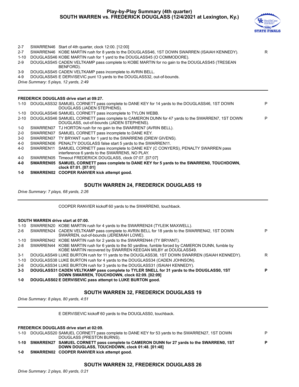#### **Play-by-Play Summary (4th quarter) SOUTH WARREN vs. FREDERICK DOUGLASS (12/4/2021 at Lexington, Ky.)**



| $2 - 7$<br>$2 - 7$<br>$1 - 10$<br>$2 - 9$ |           | SWARREN46 Start of 4th quarter, clock 12:00. [12:00]<br>SWARREN46 KOBE MARTIN rush for 8 yards to the DOUGLASS46, 1ST DOWN SWARREN (ISAIAH KENNEDY).<br>DOUGLASS46 KOBE MARTIN rush for 1 yard to the DOUGLASS45 (O COMMODORE).<br>DOUGLASS45 CADEN VELTKAMP pass complete to KOBE MARTIN for no gain to the DOUGLASS45 (TRESEAN<br>BENFORD). | R |
|-------------------------------------------|-----------|-----------------------------------------------------------------------------------------------------------------------------------------------------------------------------------------------------------------------------------------------------------------------------------------------------------------------------------------------|---|
| $3-9$                                     |           | DOUGLASS45 CADEN VELTKAMP pass incomplete to AVRIN BELL.                                                                                                                                                                                                                                                                                      |   |
| 4-9                                       |           | DOUGLASS45 E DERVISEVIC punt 13 yards to the DOUGLASS32, out-of-bounds.                                                                                                                                                                                                                                                                       |   |
|                                           |           | Drive Summary: 5 plays, 12 yards, 2:49                                                                                                                                                                                                                                                                                                        |   |
|                                           |           |                                                                                                                                                                                                                                                                                                                                               |   |
|                                           |           | <b>FREDERICK DOUGLASS drive start at 09:27.</b>                                                                                                                                                                                                                                                                                               |   |
| $1 - 10$                                  |           | DOUGLASS32 SAMUEL CORNETT pass complete to DANE KEY for 14 yards to the DOUGLASS46, 1ST DOWN<br>DOUGLASS (JADEN STEPHENS).                                                                                                                                                                                                                    | P |
| $1 - 10$                                  |           | DOUGLASS46 SAMUEL CORNETT pass incomplete to TYLON WEBB.                                                                                                                                                                                                                                                                                      |   |
| $2 - 10$                                  |           | DOUGLASS46 SAMUEL CORNETT pass complete to CAMERON DUNN for 47 yards to the SWARREN7, 1ST DOWN<br>DOUGLASS, out-of-bounds (JADEN STEPHENS).                                                                                                                                                                                                   | P |
| 1-0                                       |           | SWARREN07 TJ HORTON rush for no gain to the SWARREN7 (AVRIN BELL).                                                                                                                                                                                                                                                                            |   |
| $2 - 0$                                   |           | SWARREN07 SAMUEL CORNETT pass incomplete to DANE KEY.                                                                                                                                                                                                                                                                                         |   |
| $3-0$                                     |           | SWARREN07 TY BRYANT rush for 1 yard to the SWARREN6 (DREW GIVENS).                                                                                                                                                                                                                                                                            |   |
| 4-0                                       |           | SWARREN06 PENALTY DOUGLASS false start 5 yards to the SWARREN11.                                                                                                                                                                                                                                                                              |   |
| 4-0                                       | SWARREN11 | SAMUEL CORNETT pass incomplete to DANE KEY (C CONYERS), PENALTY SWARREN pass<br>interference 6 yards to the SWARREN5, NO PLAY.                                                                                                                                                                                                                |   |
| 4-0                                       |           | SWARREN05 Timeout FREDERICK DOUGLASS, clock 07:07. [07:07]                                                                                                                                                                                                                                                                                    |   |
| 4-0                                       |           | SWARREN05 SAMUEL CORNETT pass complete to DANE KEY for 5 yards to the SWARREN0, TOUCHDOWN,<br>clock 07:01. [07:01]                                                                                                                                                                                                                            |   |
| 1-0                                       |           | SWARREN02 COOPER RANVIER kick attempt good.                                                                                                                                                                                                                                                                                                   |   |
|                                           |           |                                                                                                                                                                                                                                                                                                                                               |   |

#### **SOUTH WARREN 24, FREDERICK DOUGLASS 19**

*Drive Summary: 7 plays, 68 yards, 2:26*

COOPER RANVIER kickoff 60 yards to the SWARREN0, touchback.

#### **SOUTH WARREN drive start at 07:00.**

| 1-10    | SWARREN20 KOBE MARTIN rush for 4 yards to the SWARREN24 (TYLEIK MAXWELL).                           |   |
|---------|-----------------------------------------------------------------------------------------------------|---|
| 2-6     | SWARREN24 CADEN VELTKAMP pass complete to AVRIN BELL for 18 yards to the SWARREN42, 1ST DOWN        | P |
|         | SWARREN, out-of-bounds (JEREMIAH LOWE).                                                             |   |
| 1-10    | SWARREN42 KOBE MARTIN rush for 2 yards to the SWARREN44 (TY BRYANT).                                |   |
| 2-8     | SWARREN44 KOBE MARTIN rush for 6 yards to the 50 yardline, fumble forced by CAMERON DUNN, fumble by |   |
|         | KOBE MARTIN recovered by SWARREN KEEGAN MILBY at DOUGLASS49.                                        |   |
| 3-1     | DOUGLASS49 LUKE BURTON rush for 11 yards to the DOUGLASS38, 1ST DOWN SWARREN (ISAIAH KENNEDY).      | R |
| 1-10    | DOUGLASS38 LUKE BURTON rush for 4 yards to the DOUGLASS34 (CADEN JOHNSON).                          |   |
| 2-6     | DOUGLASS34 LUKE BURTON rush for 3 yards to the DOUGLASS31 (ISAIAH KENNEDY).                         |   |
| $3 - 3$ | DOUGLASS31 CADEN VELTKAMP pass complete to TYLER SNELL for 31 yards to the DOUGLASS0, 1ST           | P |
|         | DOWN SWARREN, TOUCHDOWN, clock 02:09. [02:09]                                                       |   |
|         |                                                                                                     |   |

**1-0 DOUGLASS02 E DERVISEVIC pass attempt to LUKE BURTON good.**

#### **SOUTH WARREN 32, FREDERICK DOUGLASS 19**

*Drive Summary: 8 plays, 80 yards, 4:51*

E DERVISEVIC kickoff 60 yards to the DOUGLASS0, touchback.

**FREDERICK DOUGLASS drive start at 02:09.**

|     | 1-10 DOUGLASS20 SAMUEL CORNETT pass complete to DANE KEY for 53 yards to the SWARREN27, 1ST DOWN<br>DOUGLASS (PRESTON BURNS).                   | P        |
|-----|-------------------------------------------------------------------------------------------------------------------------------------------------|----------|
|     | 1-10 SWARREN27 SAMUEL CORNETT pass complete to CAMERON DUNN for 27 yards to the SWARREN0, 1ST<br>DOWN DOUGLASS, TOUCHDOWN, clock 01:48. [01:48] | <b>P</b> |
| 1-0 | SWARREN02 COOPER RANVIER kick attempt good.                                                                                                     |          |

#### **SOUTH WARREN 32, FREDERICK DOUGLASS 26**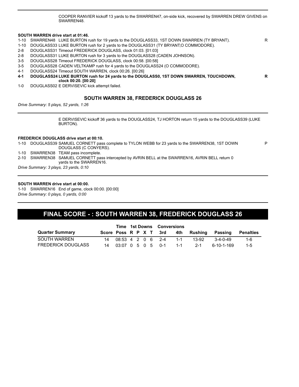COOPER RANVIER kickoff 13 yards to the SWARREN47, on-side kick, recovered by SWARREN DREW GIVENS on SWARREN48.

**R**

P

#### **SOUTH WARREN drive start at 01:46.**

- 1-10 SWARREN48 LUKE BURTON rush for 19 yards to the DOUGLASS33, 1ST DOWN SWARREN (TY BRYANT). R
- 1-10 DOUGLASS33 LUKE BURTON rush for 2 yards to the DOUGLASS31 (TY BRYANT;O COMMODORE).
- 2-8 DOUGLASS31 Timeout FREDERICK DOUGLASS, clock 01:03. [01:03]
- 2-8 DOUGLASS31 LUKE BURTON rush for 3 yards to the DOUGLASS28 (CADEN JOHNSON).
- 3-5 DOUGLASS28 Timeout FREDERICK DOUGLASS, clock 00:58. [00:58]
- 3-5 DOUGLASS28 CADEN VELTKAMP rush for 4 yards to the DOUGLASS24 (O COMMODORE).
- 4-1 DOUGLASS24 Timeout SOUTH WARREN, clock 00:26. [00:26]
- **4-1 DOUGLASS24 LUKE BURTON rush for 24 yards to the DOUGLASS0, 1ST DOWN SWARREN, TOUCHDOWN, clock 00:20. [00:20]**
- 1-0 DOUGLASS02 E DERVISEVIC kick attempt failed.

#### **SOUTH WARREN 38, FREDERICK DOUGLASS 26**

*Drive Summary: 5 plays, 52 yards, 1:26*

E DERVISEVIC kickoff 36 yards to the DOUGLASS24, TJ HORTON return 15 yards to the DOUGLASS39 (LUKE BURTON).

#### **FREDERICK DOUGLASS drive start at 00:10.**

1-10 DOUGLASS39 SAMUEL CORNETT pass complete to TYLON WEBB for 23 yards to the SWARREN38, 1ST DOWN DOUGLASS (C CONYERS).

- 1-10 SWARREN38 TEAM pass incomplete.
- 2-10 SWARREN38 SAMUEL CORNETT pass intercepted by AVRIN BELL at the SWARREN16, AVRIN BELL return 0 yards to the SWARREN16.

*Drive Summary: 3 plays, 23 yards, 0:10*

#### **SOUTH WARREN drive start at 00:00.**

1-10 SWARREN16 End of game, clock 00:00. [00:00] *Drive Summary: 0 plays, 0 yards, 0:00*

## **FINAL SCORE - : SOUTH WARREN 38, FREDERICK DOUGLASS 26**

|                           |                      | Time 1st Downs Conversions |  |  |                          |       |         |              |           |
|---------------------------|----------------------|----------------------------|--|--|--------------------------|-------|---------|--------------|-----------|
| <b>Quarter Summary</b>    |                      |                            |  |  | Score Poss R P X T 3rd   | 4th   | Rushing | Passing      | Penalties |
| SOUTH WARREN              |                      |                            |  |  | 14 08:53 4 2 0 6 2-4 1-1 |       | 13-92   | 3-4-0-49     | 1-6       |
| <b>FREDERICK DOUGLASS</b> | 14 03:07 0 5 0 5 0-1 |                            |  |  |                          | $1-1$ | - 2-1   | . 6-10-1-169 | $1 - 5$   |